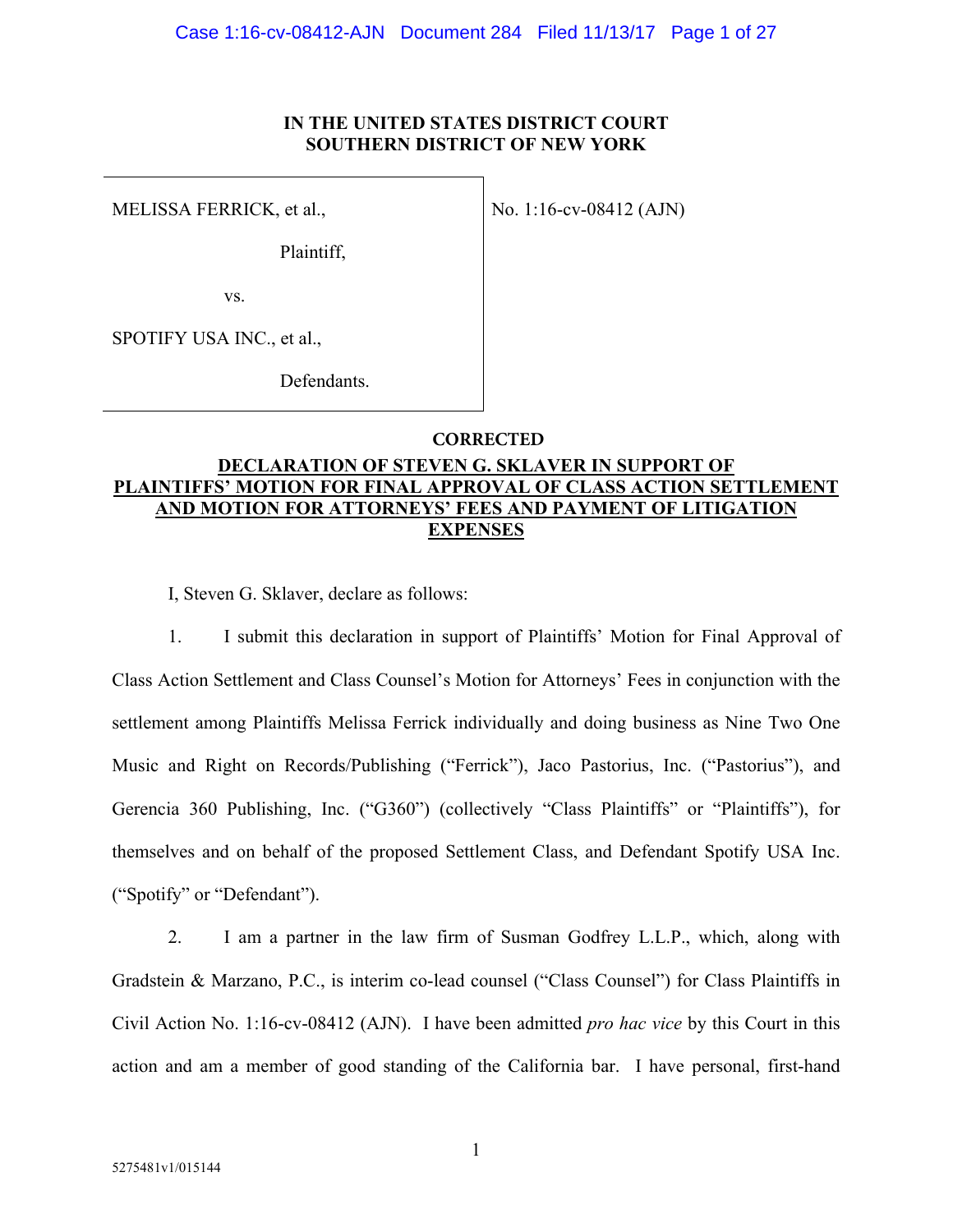#### **IN THE UNITED STATES DISTRICT COURT SOUTHERN DISTRICT OF NEW YORK**

MELISSA FERRICK, et al.,

No. 1:16-cv-08412 (AJN)

Plaintiff,

vs.

SPOTIFY USA INC., et al.,

Defendants.

#### **CORRECTED**

### **DECLARATION OF STEVEN G. SKLAVER IN SUPPORT OF PLAINTIFFS' MOTION FOR FINAL APPROVAL OF CLASS ACTION SETTLEMENT AND MOTION FOR ATTORNEYS' FEES AND PAYMENT OF LITIGATION EXPENSES**

I, Steven G. Sklaver, declare as follows:

1. I submit this declaration in support of Plaintiffs' Motion for Final Approval of Class Action Settlement and Class Counsel's Motion for Attorneys' Fees in conjunction with the settlement among Plaintiffs Melissa Ferrick individually and doing business as Nine Two One Music and Right on Records/Publishing ("Ferrick"), Jaco Pastorius, Inc. ("Pastorius"), and Gerencia 360 Publishing, Inc. ("G360") (collectively "Class Plaintiffs" or "Plaintiffs"), for themselves and on behalf of the proposed Settlement Class, and Defendant Spotify USA Inc. ("Spotify" or "Defendant").

2. I am a partner in the law firm of Susman Godfrey L.L.P., which, along with Gradstein & Marzano, P.C., is interim co-lead counsel ("Class Counsel") for Class Plaintiffs in Civil Action No. 1:16-cv-08412 (AJN). I have been admitted *pro hac vice* by this Court in this action and am a member of good standing of the California bar. I have personal, first-hand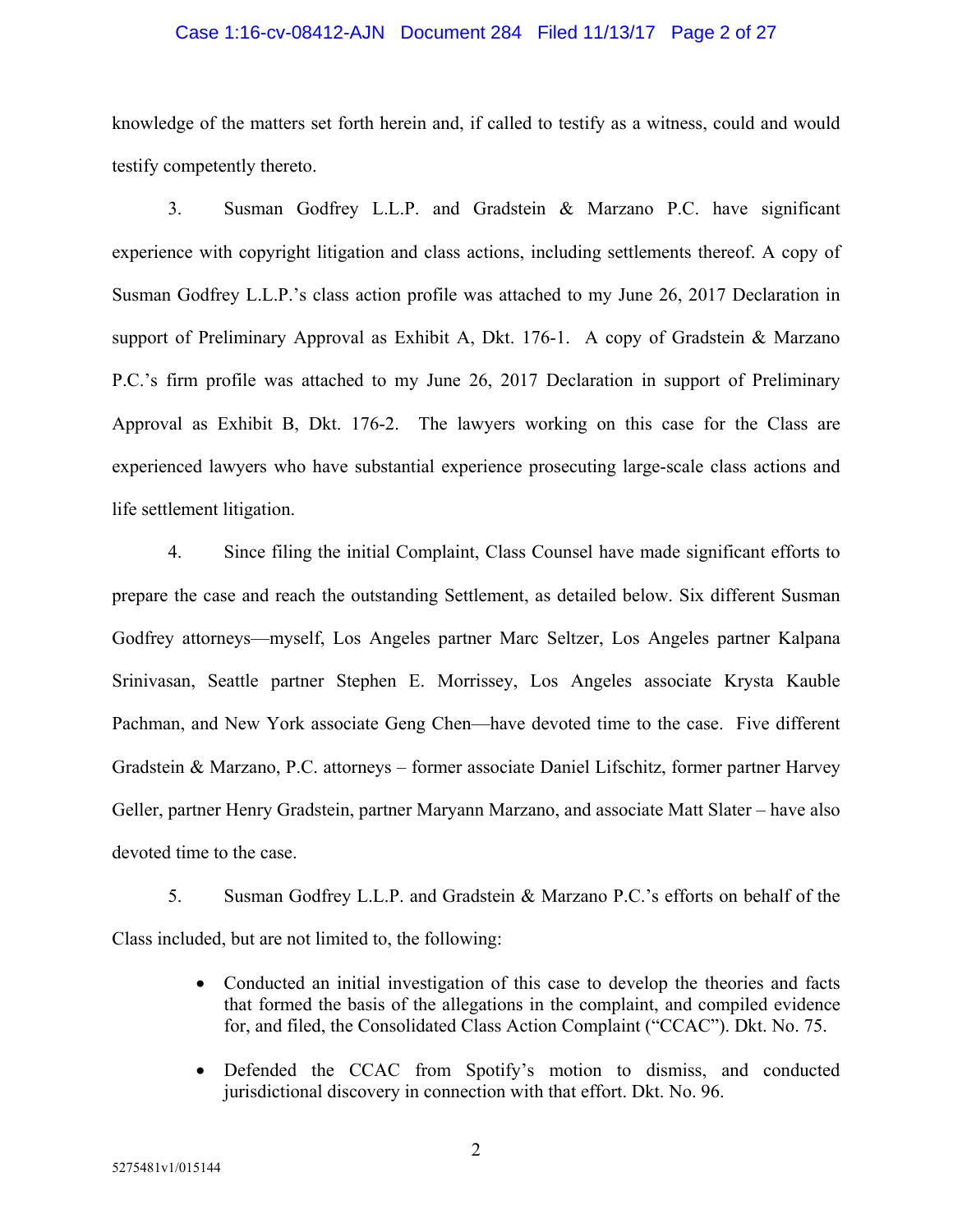#### Case 1:16-cv-08412-AJN Document 284 Filed 11/13/17 Page 2 of 27

knowledge of the matters set forth herein and, if called to testify as a witness, could and would testify competently thereto.

3. Susman Godfrey L.L.P. and Gradstein & Marzano P.C. have significant experience with copyright litigation and class actions, including settlements thereof. A copy of Susman Godfrey L.L.P.'s class action profile was attached to my June 26, 2017 Declaration in support of Preliminary Approval as Exhibit A, Dkt. 176-1. A copy of Gradstein  $\&$  Marzano P.C.'s firm profile was attached to my June 26, 2017 Declaration in support of Preliminary Approval as Exhibit B, Dkt. 176-2. The lawyers working on this case for the Class are experienced lawyers who have substantial experience prosecuting large-scale class actions and life settlement litigation.

4. Since filing the initial Complaint, Class Counsel have made significant efforts to prepare the case and reach the outstanding Settlement, as detailed below. Six different Susman Godfrey attorneys—myself, Los Angeles partner Marc Seltzer, Los Angeles partner Kalpana Srinivasan, Seattle partner Stephen E. Morrissey, Los Angeles associate Krysta Kauble Pachman, and New York associate Geng Chen—have devoted time to the case. Five different Gradstein & Marzano, P.C. attorneys – former associate Daniel Lifschitz, former partner Harvey Geller, partner Henry Gradstein, partner Maryann Marzano, and associate Matt Slater – have also devoted time to the case.

5. Susman Godfrey L.L.P. and Gradstein & Marzano P.C.'s efforts on behalf of the Class included, but are not limited to, the following:

- Conducted an initial investigation of this case to develop the theories and facts that formed the basis of the allegations in the complaint, and compiled evidence for, and filed, the Consolidated Class Action Complaint ("CCAC"). Dkt. No. 75.
- Defended the CCAC from Spotify's motion to dismiss, and conducted jurisdictional discovery in connection with that effort. Dkt. No. 96.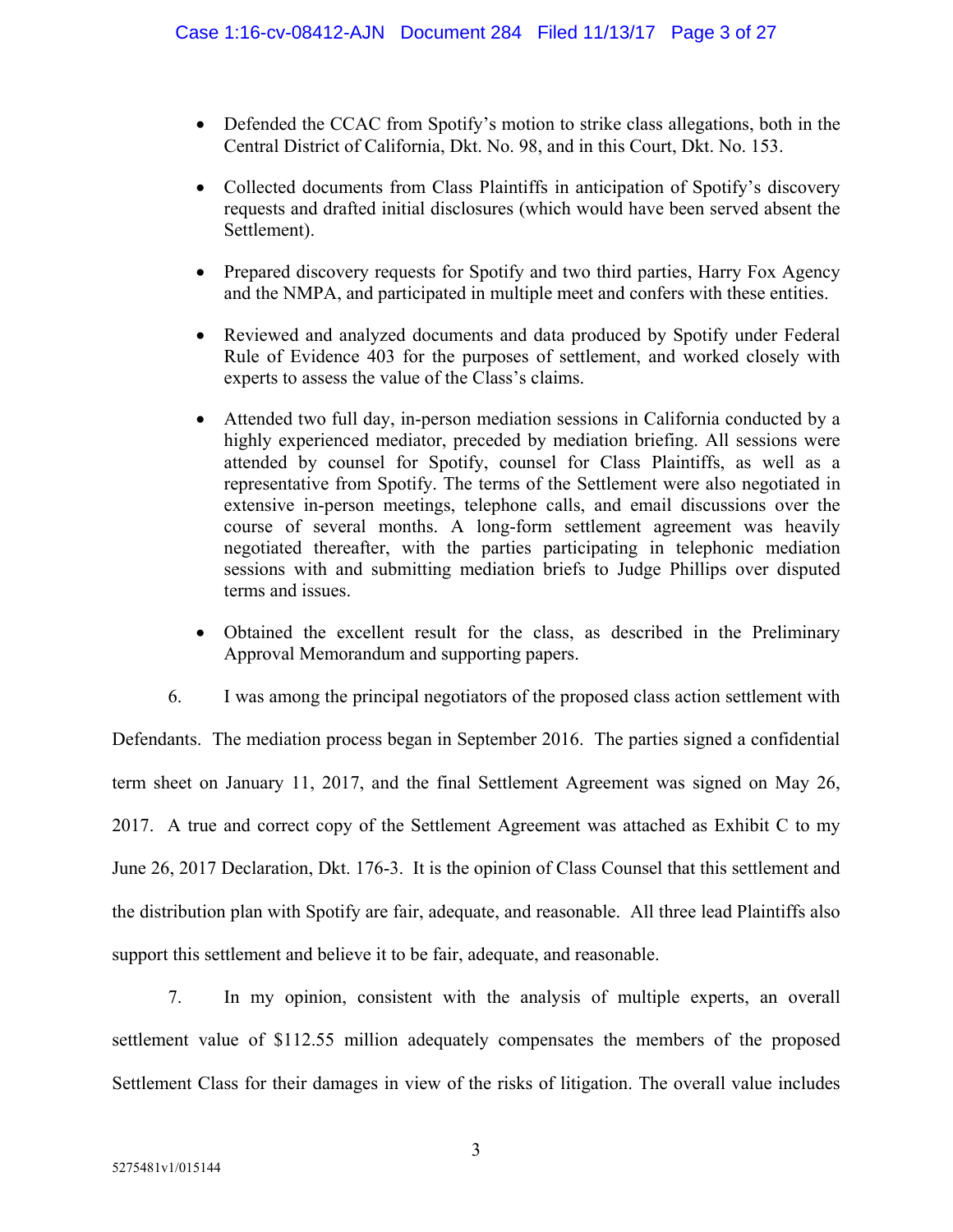- Defended the CCAC from Spotify's motion to strike class allegations, both in the Central District of California, Dkt. No. 98, and in this Court, Dkt. No. 153.
- Collected documents from Class Plaintiffs in anticipation of Spotify's discovery requests and drafted initial disclosures (which would have been served absent the Settlement).
- Prepared discovery requests for Spotify and two third parties, Harry Fox Agency and the NMPA, and participated in multiple meet and confers with these entities.
- Reviewed and analyzed documents and data produced by Spotify under Federal Rule of Evidence 403 for the purposes of settlement, and worked closely with experts to assess the value of the Class's claims.
- Attended two full day, in-person mediation sessions in California conducted by a highly experienced mediator, preceded by mediation briefing. All sessions were attended by counsel for Spotify, counsel for Class Plaintiffs, as well as a representative from Spotify. The terms of the Settlement were also negotiated in extensive in-person meetings, telephone calls, and email discussions over the course of several months. A long-form settlement agreement was heavily negotiated thereafter, with the parties participating in telephonic mediation sessions with and submitting mediation briefs to Judge Phillips over disputed terms and issues.
- Obtained the excellent result for the class, as described in the Preliminary Approval Memorandum and supporting papers.

6. I was among the principal negotiators of the proposed class action settlement with Defendants. The mediation process began in September 2016. The parties signed a confidential term sheet on January 11, 2017, and the final Settlement Agreement was signed on May 26, 2017. A true and correct copy of the Settlement Agreement was attached as Exhibit C to my June 26, 2017 Declaration, Dkt. 176-3. It is the opinion of Class Counsel that this settlement and the distribution plan with Spotify are fair, adequate, and reasonable. All three lead Plaintiffs also support this settlement and believe it to be fair, adequate, and reasonable.

7. In my opinion, consistent with the analysis of multiple experts, an overall settlement value of \$112.55 million adequately compensates the members of the proposed Settlement Class for their damages in view of the risks of litigation. The overall value includes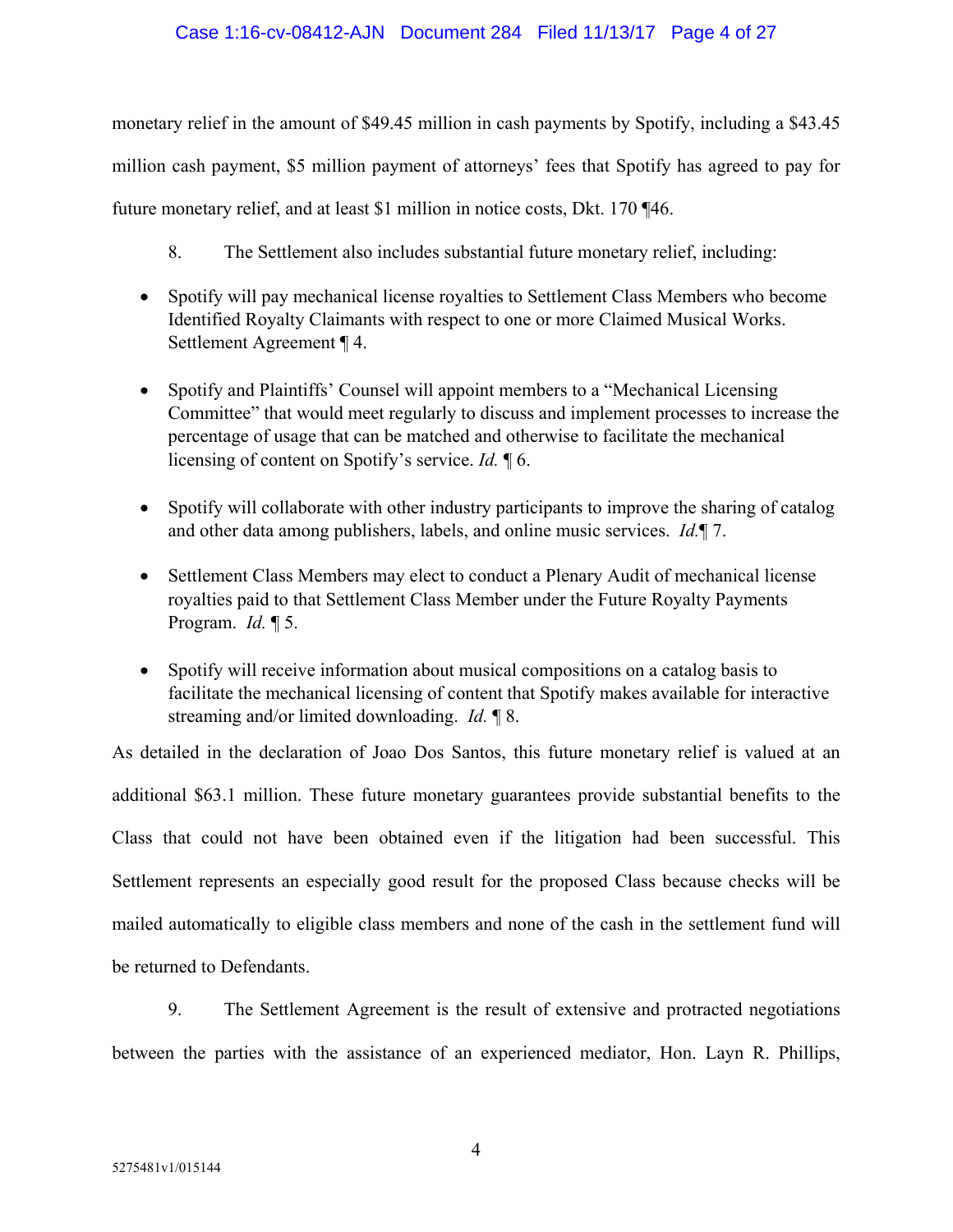#### Case 1:16-cv-08412-AJN Document 284 Filed 11/13/17 Page 4 of 27

monetary relief in the amount of \$49.45 million in cash payments by Spotify, including a \$43.45 million cash payment, \$5 million payment of attorneys' fees that Spotify has agreed to pay for future monetary relief, and at least \$1 million in notice costs, Dkt. 170 ¶46.

- 8. The Settlement also includes substantial future monetary relief, including:
- Spotify will pay mechanical license royalties to Settlement Class Members who become Identified Royalty Claimants with respect to one or more Claimed Musical Works. Settlement Agreement ¶ 4.
- Spotify and Plaintiffs' Counsel will appoint members to a "Mechanical Licensing Committee" that would meet regularly to discuss and implement processes to increase the percentage of usage that can be matched and otherwise to facilitate the mechanical licensing of content on Spotify's service. *Id.* ¶ 6.
- Spotify will collaborate with other industry participants to improve the sharing of catalog and other data among publishers, labels, and online music services. *Id.*¶ 7.
- Settlement Class Members may elect to conduct a Plenary Audit of mechanical license royalties paid to that Settlement Class Member under the Future Royalty Payments Program. *Id.* ¶ 5.
- Spotify will receive information about musical compositions on a catalog basis to facilitate the mechanical licensing of content that Spotify makes available for interactive streaming and/or limited downloading. *Id.* ¶ 8.

As detailed in the declaration of Joao Dos Santos, this future monetary relief is valued at an additional \$63.1 million. These future monetary guarantees provide substantial benefits to the Class that could not have been obtained even if the litigation had been successful. This Settlement represents an especially good result for the proposed Class because checks will be mailed automatically to eligible class members and none of the cash in the settlement fund will be returned to Defendants.

9. The Settlement Agreement is the result of extensive and protracted negotiations between the parties with the assistance of an experienced mediator, Hon. Layn R. Phillips,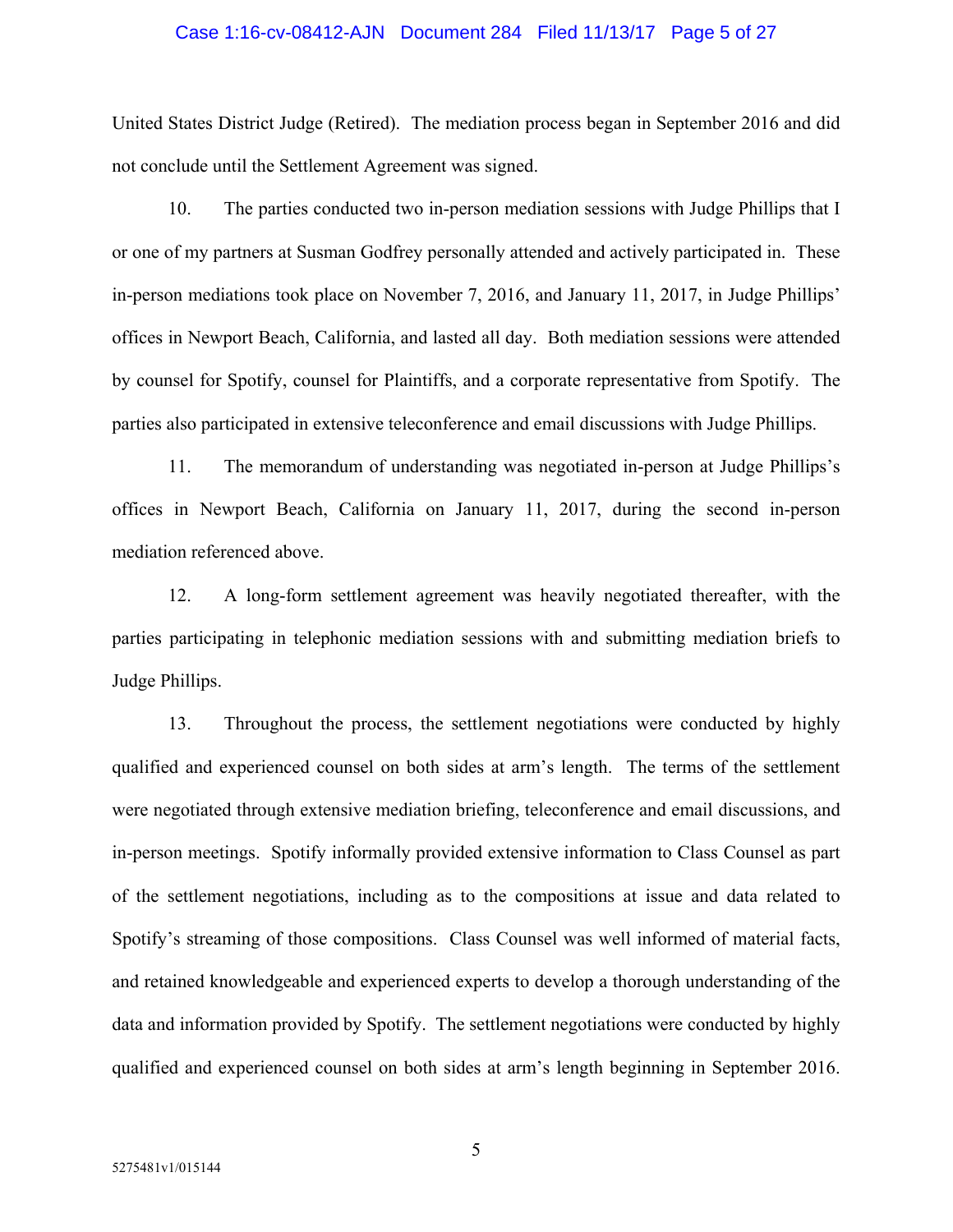#### Case 1:16-cv-08412-AJN Document 284 Filed 11/13/17 Page 5 of 27

United States District Judge (Retired). The mediation process began in September 2016 and did not conclude until the Settlement Agreement was signed.

10. The parties conducted two in-person mediation sessions with Judge Phillips that I or one of my partners at Susman Godfrey personally attended and actively participated in. These in-person mediations took place on November 7, 2016, and January 11, 2017, in Judge Phillips' offices in Newport Beach, California, and lasted all day. Both mediation sessions were attended by counsel for Spotify, counsel for Plaintiffs, and a corporate representative from Spotify. The parties also participated in extensive teleconference and email discussions with Judge Phillips.

11. The memorandum of understanding was negotiated in-person at Judge Phillips's offices in Newport Beach, California on January 11, 2017, during the second in-person mediation referenced above.

12. A long-form settlement agreement was heavily negotiated thereafter, with the parties participating in telephonic mediation sessions with and submitting mediation briefs to Judge Phillips.

13. Throughout the process, the settlement negotiations were conducted by highly qualified and experienced counsel on both sides at arm's length. The terms of the settlement were negotiated through extensive mediation briefing, teleconference and email discussions, and in-person meetings. Spotify informally provided extensive information to Class Counsel as part of the settlement negotiations, including as to the compositions at issue and data related to Spotify's streaming of those compositions. Class Counsel was well informed of material facts, and retained knowledgeable and experienced experts to develop a thorough understanding of the data and information provided by Spotify. The settlement negotiations were conducted by highly qualified and experienced counsel on both sides at arm's length beginning in September 2016.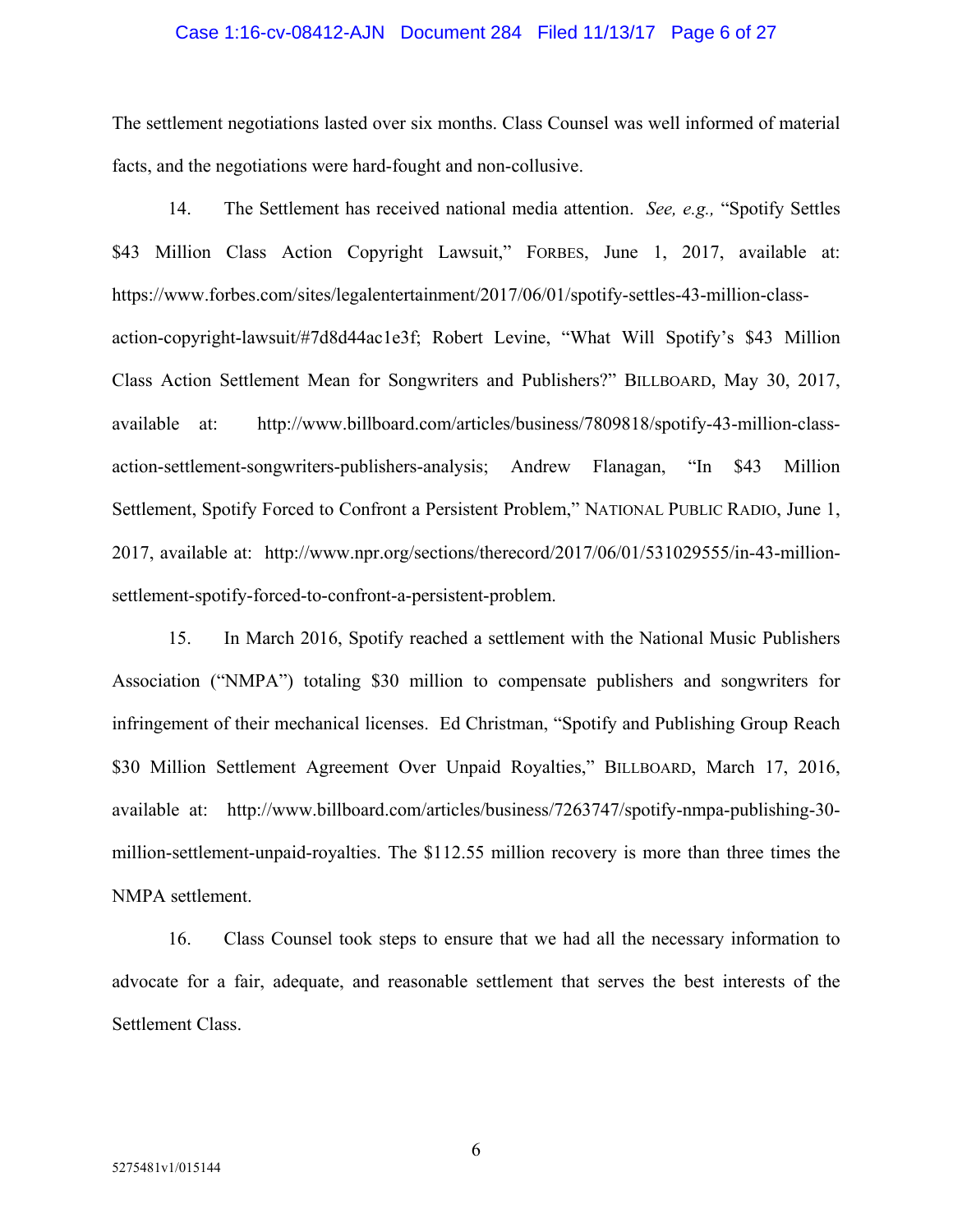#### Case 1:16-cv-08412-AJN Document 284 Filed 11/13/17 Page 6 of 27

The settlement negotiations lasted over six months. Class Counsel was well informed of material facts, and the negotiations were hard-fought and non-collusive.

14. The Settlement has received national media attention. *See, e.g.,* "Spotify Settles \$43 Million Class Action Copyright Lawsuit," FORBES, June 1, 2017, available at: https://www.forbes.com/sites/legalentertainment/2017/06/01/spotify-settles-43-million-classaction-copyright-lawsuit/#7d8d44ac1e3f; Robert Levine, "What Will Spotify's \$43 Million Class Action Settlement Mean for Songwriters and Publishers?" BILLBOARD, May 30, 2017, available at: http://www.billboard.com/articles/business/7809818/spotify-43-million-classaction-settlement-songwriters-publishers-analysis; Andrew Flanagan, "In \$43 Million Settlement, Spotify Forced to Confront a Persistent Problem," NATIONAL PUBLIC RADIO, June 1, 2017, available at: http://www.npr.org/sections/therecord/2017/06/01/531029555/in-43-millionsettlement-spotify-forced-to-confront-a-persistent-problem.

15. In March 2016, Spotify reached a settlement with the National Music Publishers Association ("NMPA") totaling \$30 million to compensate publishers and songwriters for infringement of their mechanical licenses. Ed Christman, "Spotify and Publishing Group Reach \$30 Million Settlement Agreement Over Unpaid Royalties," BILLBOARD, March 17, 2016, available at: http://www.billboard.com/articles/business/7263747/spotify-nmpa-publishing-30 million-settlement-unpaid-royalties. The \$112.55 million recovery is more than three times the NMPA settlement.

16. Class Counsel took steps to ensure that we had all the necessary information to advocate for a fair, adequate, and reasonable settlement that serves the best interests of the Settlement Class.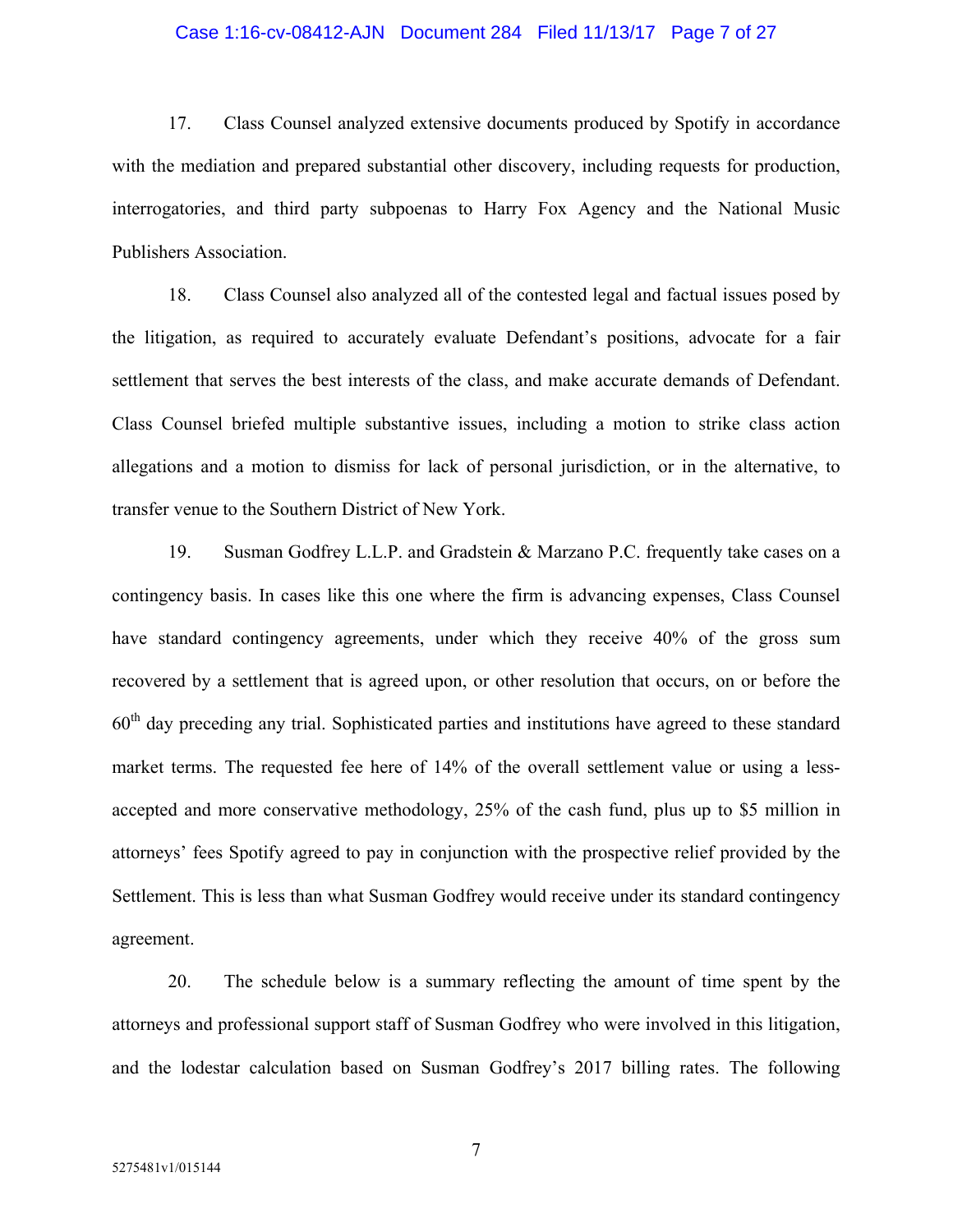#### Case 1:16-cv-08412-AJN Document 284 Filed 11/13/17 Page 7 of 27

17. Class Counsel analyzed extensive documents produced by Spotify in accordance with the mediation and prepared substantial other discovery, including requests for production, interrogatories, and third party subpoenas to Harry Fox Agency and the National Music Publishers Association.

18. Class Counsel also analyzed all of the contested legal and factual issues posed by the litigation, as required to accurately evaluate Defendant's positions, advocate for a fair settlement that serves the best interests of the class, and make accurate demands of Defendant. Class Counsel briefed multiple substantive issues, including a motion to strike class action allegations and a motion to dismiss for lack of personal jurisdiction, or in the alternative, to transfer venue to the Southern District of New York.

19. Susman Godfrey L.L.P. and Gradstein & Marzano P.C. frequently take cases on a contingency basis. In cases like this one where the firm is advancing expenses, Class Counsel have standard contingency agreements, under which they receive 40% of the gross sum recovered by a settlement that is agreed upon, or other resolution that occurs, on or before the  $60<sup>th</sup>$  day preceding any trial. Sophisticated parties and institutions have agreed to these standard market terms. The requested fee here of 14% of the overall settlement value or using a lessaccepted and more conservative methodology, 25% of the cash fund, plus up to \$5 million in attorneys' fees Spotify agreed to pay in conjunction with the prospective relief provided by the Settlement. This is less than what Susman Godfrey would receive under its standard contingency agreement.

20. The schedule below is a summary reflecting the amount of time spent by the attorneys and professional support staff of Susman Godfrey who were involved in this litigation, and the lodestar calculation based on Susman Godfrey's 2017 billing rates. The following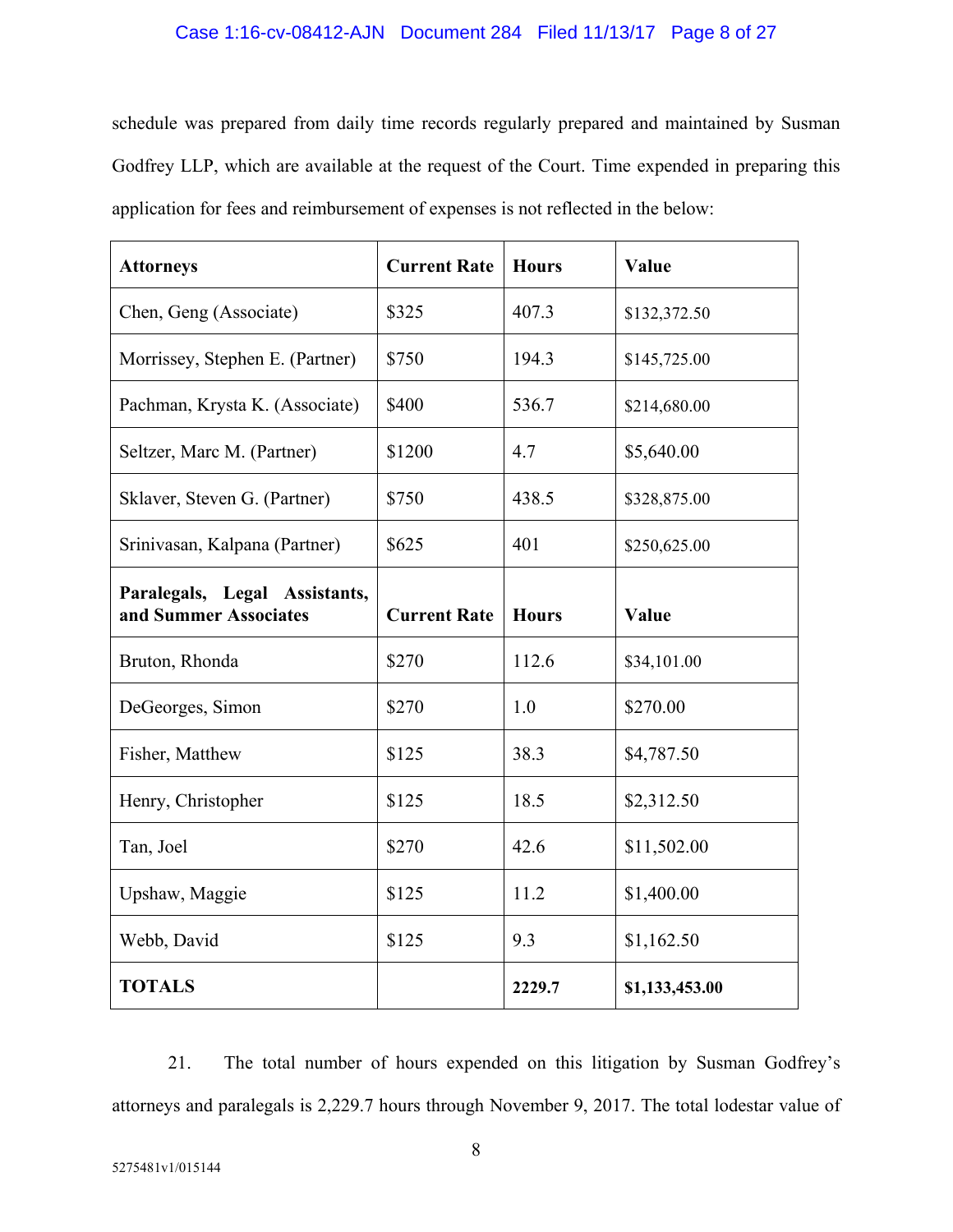#### Case 1:16-cv-08412-AJN Document 284 Filed 11/13/17 Page 8 of 27

schedule was prepared from daily time records regularly prepared and maintained by Susman Godfrey LLP, which are available at the request of the Court. Time expended in preparing this application for fees and reimbursement of expenses is not reflected in the below:

| <b>Attorneys</b>                                       | <b>Current Rate</b> | <b>Hours</b> | Value          |  |
|--------------------------------------------------------|---------------------|--------------|----------------|--|
| Chen, Geng (Associate)                                 | \$325               | 407.3        | \$132,372.50   |  |
| Morrissey, Stephen E. (Partner)                        | \$750<br>194.3      |              | \$145,725.00   |  |
| Pachman, Krysta K. (Associate)                         | \$400               | 536.7        | \$214,680.00   |  |
| Seltzer, Marc M. (Partner)                             | \$1200              | 4.7          | \$5,640.00     |  |
| Sklaver, Steven G. (Partner)                           | \$750               | 438.5        | \$328,875.00   |  |
| Srinivasan, Kalpana (Partner)                          | \$625               | 401          | \$250,625.00   |  |
| Paralegals, Legal Assistants,<br>and Summer Associates | <b>Current Rate</b> | <b>Hours</b> | Value          |  |
| Bruton, Rhonda                                         | \$270               | 112.6        | \$34,101.00    |  |
| DeGeorges, Simon                                       | \$270               | 1.0          | \$270.00       |  |
| Fisher, Matthew                                        | \$125               | 38.3         | \$4,787.50     |  |
| Henry, Christopher                                     | \$125               | 18.5         | \$2,312.50     |  |
| Tan, Joel                                              | \$270               | 42.6         | \$11,502.00    |  |
| Upshaw, Maggie                                         | \$125               | 11.2         | \$1,400.00     |  |
| Webb, David                                            | \$125               | 9.3          | \$1,162.50     |  |
| <b>TOTALS</b>                                          |                     | 2229.7       | \$1,133,453.00 |  |

21. The total number of hours expended on this litigation by Susman Godfrey's attorneys and paralegals is 2,229.7 hours through November 9, 2017. The total lodestar value of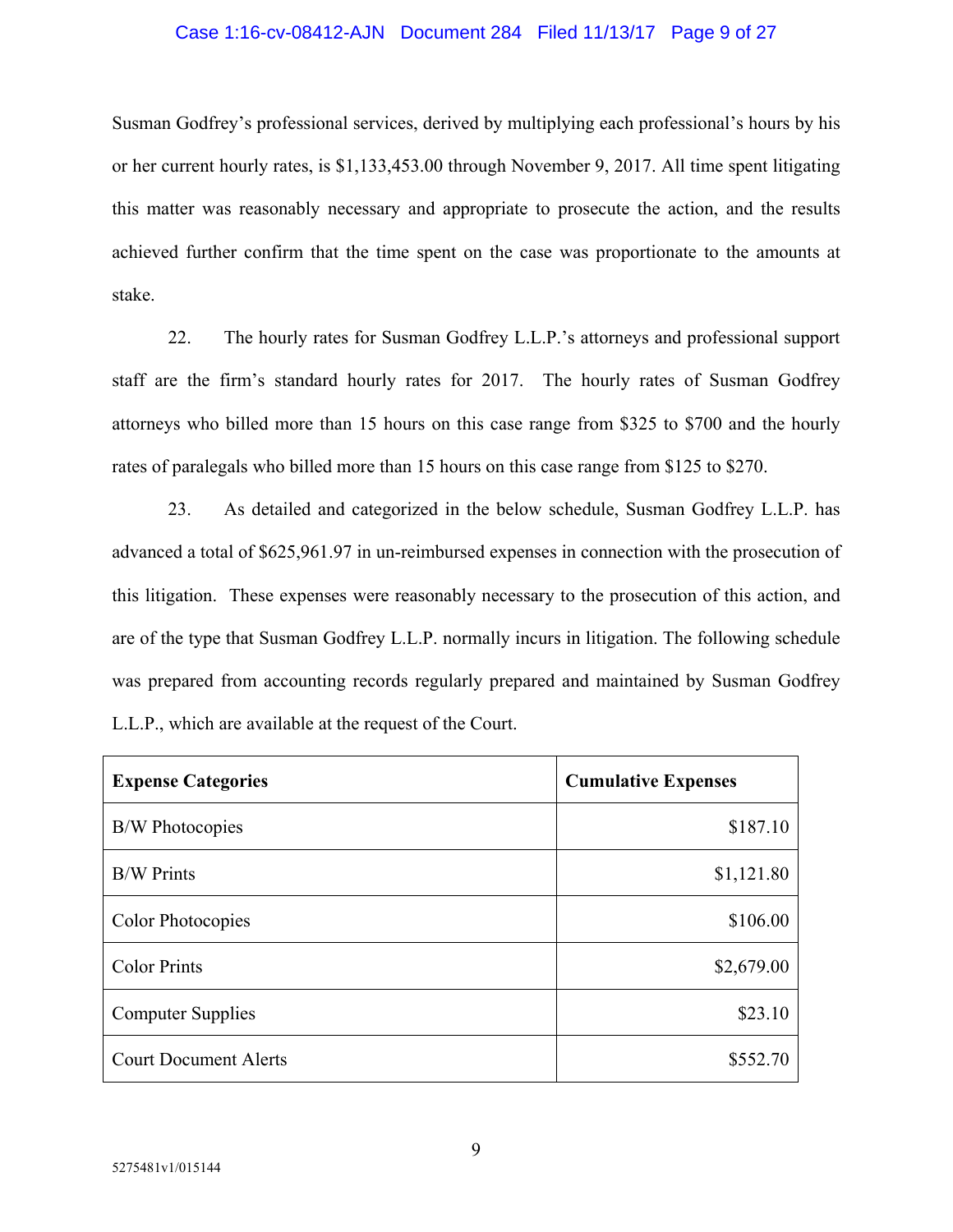#### Case 1:16-cv-08412-AJN Document 284 Filed 11/13/17 Page 9 of 27

Susman Godfrey's professional services, derived by multiplying each professional's hours by his or her current hourly rates, is \$1,133,453.00 through November 9, 2017. All time spent litigating this matter was reasonably necessary and appropriate to prosecute the action, and the results achieved further confirm that the time spent on the case was proportionate to the amounts at stake.

22. The hourly rates for Susman Godfrey L.L.P.'s attorneys and professional support staff are the firm's standard hourly rates for 2017. The hourly rates of Susman Godfrey attorneys who billed more than 15 hours on this case range from \$325 to \$700 and the hourly rates of paralegals who billed more than 15 hours on this case range from \$125 to \$270.

23. As detailed and categorized in the below schedule, Susman Godfrey L.L.P. has advanced a total of \$625,961.97 in un-reimbursed expenses in connection with the prosecution of this litigation. These expenses were reasonably necessary to the prosecution of this action, and are of the type that Susman Godfrey L.L.P. normally incurs in litigation. The following schedule was prepared from accounting records regularly prepared and maintained by Susman Godfrey L.L.P., which are available at the request of the Court.

| <b>Expense Categories</b>    | <b>Cumulative Expenses</b> |
|------------------------------|----------------------------|
| <b>B/W</b> Photocopies       | \$187.10                   |
| <b>B/W Prints</b>            | \$1,121.80                 |
| <b>Color Photocopies</b>     | \$106.00                   |
| <b>Color Prints</b>          | \$2,679.00                 |
| <b>Computer Supplies</b>     | \$23.10                    |
| <b>Court Document Alerts</b> | \$552.70                   |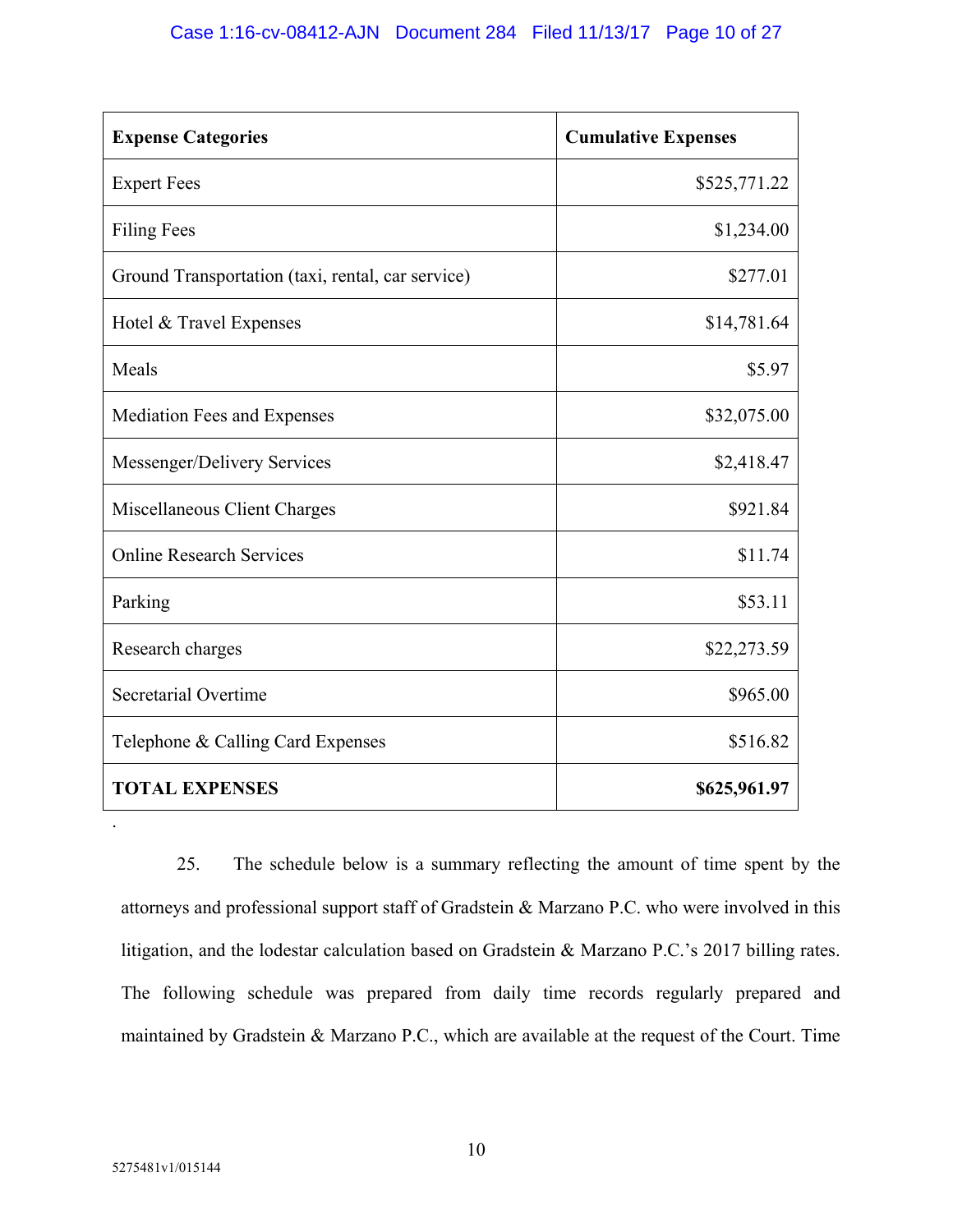| <b>Expense Categories</b>                         | <b>Cumulative Expenses</b> |
|---------------------------------------------------|----------------------------|
| <b>Expert Fees</b>                                | \$525,771.22               |
| <b>Filing Fees</b>                                | \$1,234.00                 |
| Ground Transportation (taxi, rental, car service) | \$277.01                   |
| Hotel & Travel Expenses                           | \$14,781.64                |
| Meals                                             | \$5.97                     |
| Mediation Fees and Expenses                       | \$32,075.00                |
| Messenger/Delivery Services                       | \$2,418.47                 |
| Miscellaneous Client Charges                      | \$921.84                   |
| <b>Online Research Services</b>                   | \$11.74                    |
| Parking                                           | \$53.11                    |
| Research charges                                  | \$22,273.59                |
| Secretarial Overtime                              | \$965.00                   |
| Telephone & Calling Card Expenses                 | \$516.82                   |
| <b>TOTAL EXPENSES</b>                             | \$625,961.97               |

25. The schedule below is a summary reflecting the amount of time spent by the attorneys and professional support staff of Gradstein & Marzano P.C. who were involved in this litigation, and the lodestar calculation based on Gradstein & Marzano P.C.'s 2017 billing rates. The following schedule was prepared from daily time records regularly prepared and maintained by Gradstein & Marzano P.C., which are available at the request of the Court. Time

.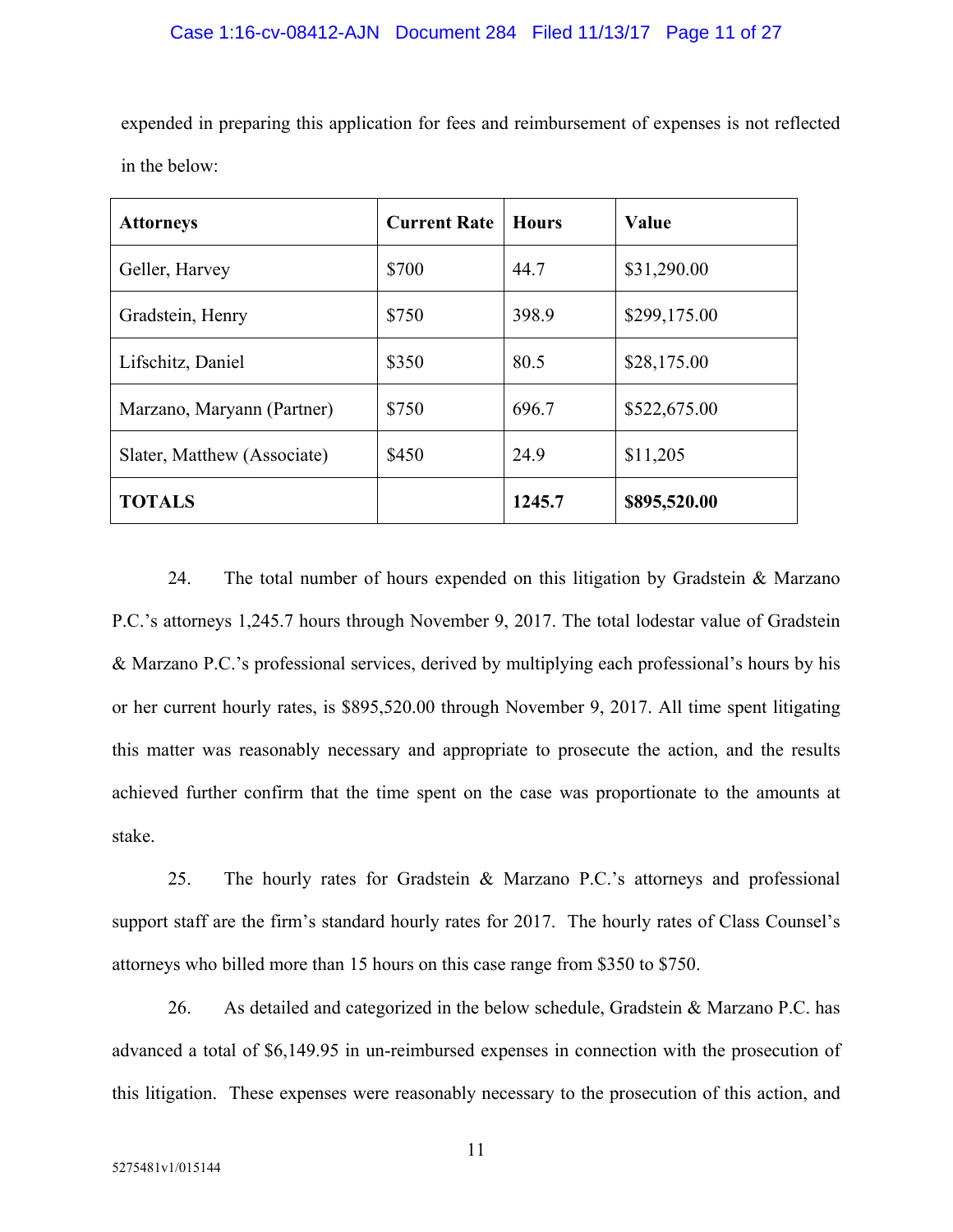expended in preparing this application for fees and reimbursement of expenses is not reflected in the below:

| <b>Attorneys</b>            | <b>Current Rate</b> | <b>Hours</b> | Value        |
|-----------------------------|---------------------|--------------|--------------|
| Geller, Harvey              | \$700               | 44.7         | \$31,290.00  |
| Gradstein, Henry            | \$750               | 398.9        | \$299,175.00 |
| Lifschitz, Daniel           | \$350               | 80.5         | \$28,175.00  |
| Marzano, Maryann (Partner)  | \$750               | 696.7        | \$522,675.00 |
| Slater, Matthew (Associate) | \$450               | 24.9         | \$11,205     |
| <b>TOTALS</b>               |                     | 1245.7       | \$895,520.00 |

24. The total number of hours expended on this litigation by Gradstein & Marzano P.C.'s attorneys 1,245.7 hours through November 9, 2017. The total lodestar value of Gradstein & Marzano P.C.'s professional services, derived by multiplying each professional's hours by his or her current hourly rates, is \$895,520.00 through November 9, 2017. All time spent litigating this matter was reasonably necessary and appropriate to prosecute the action, and the results achieved further confirm that the time spent on the case was proportionate to the amounts at stake.

25. The hourly rates for Gradstein & Marzano P.C.'s attorneys and professional support staff are the firm's standard hourly rates for 2017. The hourly rates of Class Counsel's attorneys who billed more than 15 hours on this case range from \$350 to \$750.

26. As detailed and categorized in the below schedule, Gradstein & Marzano P.C. has advanced a total of \$6,149.95 in un-reimbursed expenses in connection with the prosecution of this litigation. These expenses were reasonably necessary to the prosecution of this action, and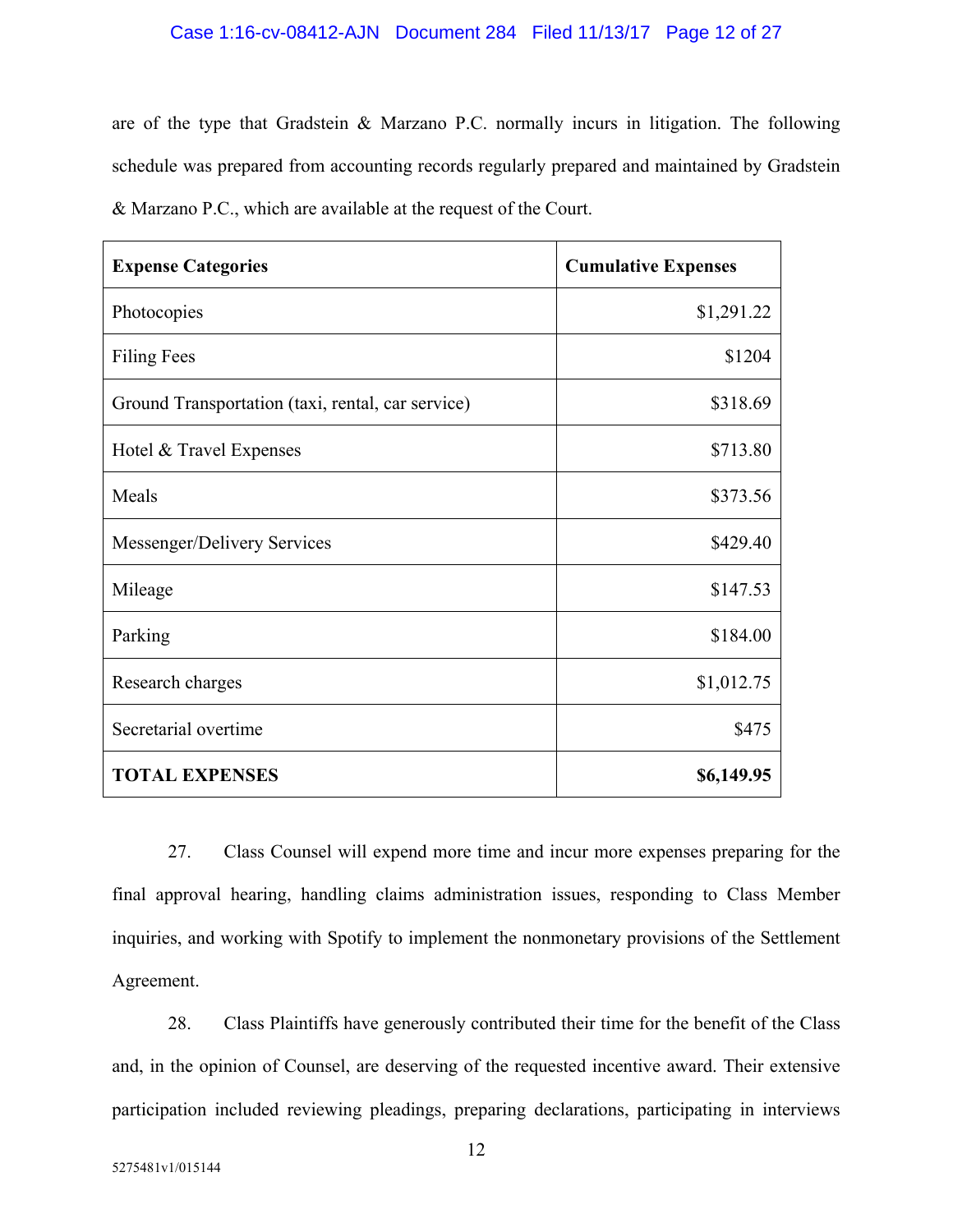#### Case 1:16-cv-08412-AJN Document 284 Filed 11/13/17 Page 12 of 27

are of the type that Gradstein & Marzano P.C. normally incurs in litigation. The following schedule was prepared from accounting records regularly prepared and maintained by Gradstein & Marzano P.C., which are available at the request of the Court.

| <b>Expense Categories</b>                         | <b>Cumulative Expenses</b> |
|---------------------------------------------------|----------------------------|
| Photocopies                                       | \$1,291.22                 |
| <b>Filing Fees</b>                                | \$1204                     |
| Ground Transportation (taxi, rental, car service) | \$318.69                   |
| Hotel & Travel Expenses                           | \$713.80                   |
| Meals                                             | \$373.56                   |
| Messenger/Delivery Services                       | \$429.40                   |
| Mileage                                           | \$147.53                   |
| Parking                                           | \$184.00                   |
| Research charges                                  | \$1,012.75                 |
| Secretarial overtime                              | \$475                      |
| <b>TOTAL EXPENSES</b>                             | \$6,149.95                 |

27. Class Counsel will expend more time and incur more expenses preparing for the final approval hearing, handling claims administration issues, responding to Class Member inquiries, and working with Spotify to implement the nonmonetary provisions of the Settlement Agreement.

28. Class Plaintiffs have generously contributed their time for the benefit of the Class and, in the opinion of Counsel, are deserving of the requested incentive award. Their extensive participation included reviewing pleadings, preparing declarations, participating in interviews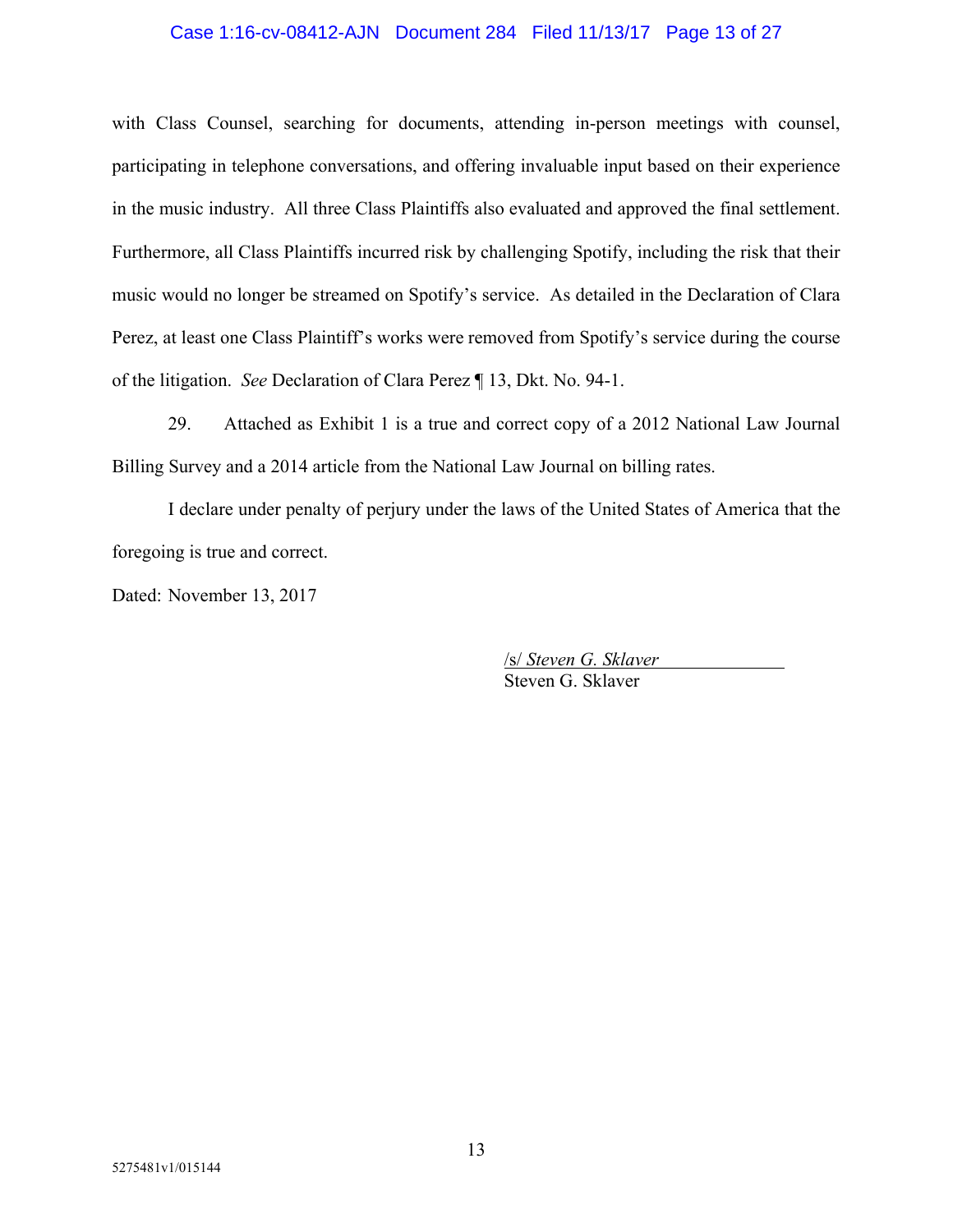#### Case 1:16-cv-08412-AJN Document 284 Filed 11/13/17 Page 13 of 27

with Class Counsel, searching for documents, attending in-person meetings with counsel, participating in telephone conversations, and offering invaluable input based on their experience in the music industry. All three Class Plaintiffs also evaluated and approved the final settlement. Furthermore, all Class Plaintiffs incurred risk by challenging Spotify, including the risk that their music would no longer be streamed on Spotify's service. As detailed in the Declaration of Clara Perez, at least one Class Plaintiff's works were removed from Spotify's service during the course of the litigation. *See* Declaration of Clara Perez ¶ 13, Dkt. No. 94-1.

29. Attached as Exhibit 1 is a true and correct copy of a 2012 National Law Journal Billing Survey and a 2014 article from the National Law Journal on billing rates.

I declare under penalty of perjury under the laws of the United States of America that the foregoing is true and correct.

Dated: November 13, 2017

/s/ *Steven G. Sklaver* Steven G. Sklaver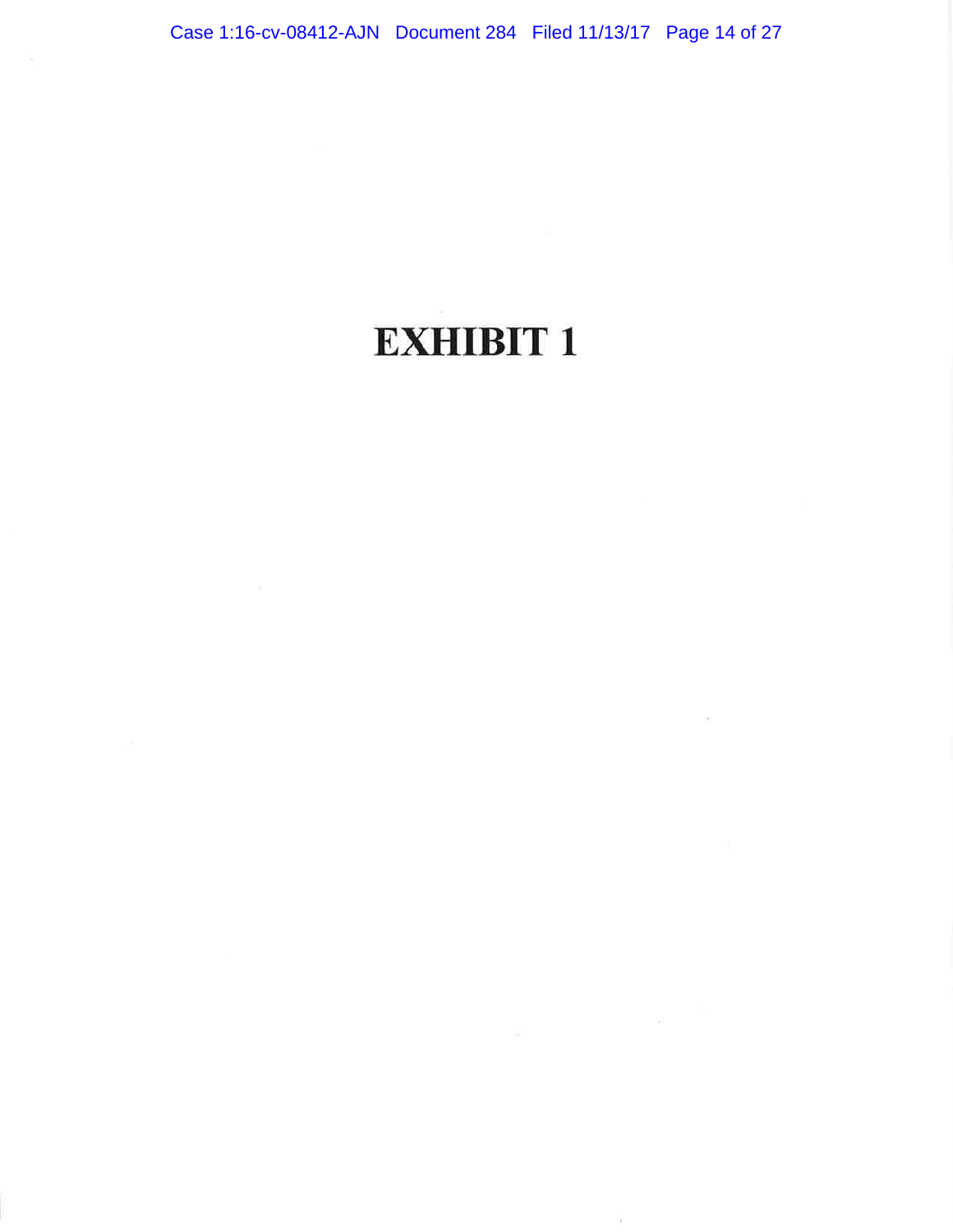# EXHIBIT <sup>1</sup>

 $\sim$ 

 $\overline{\mathcal{X}}$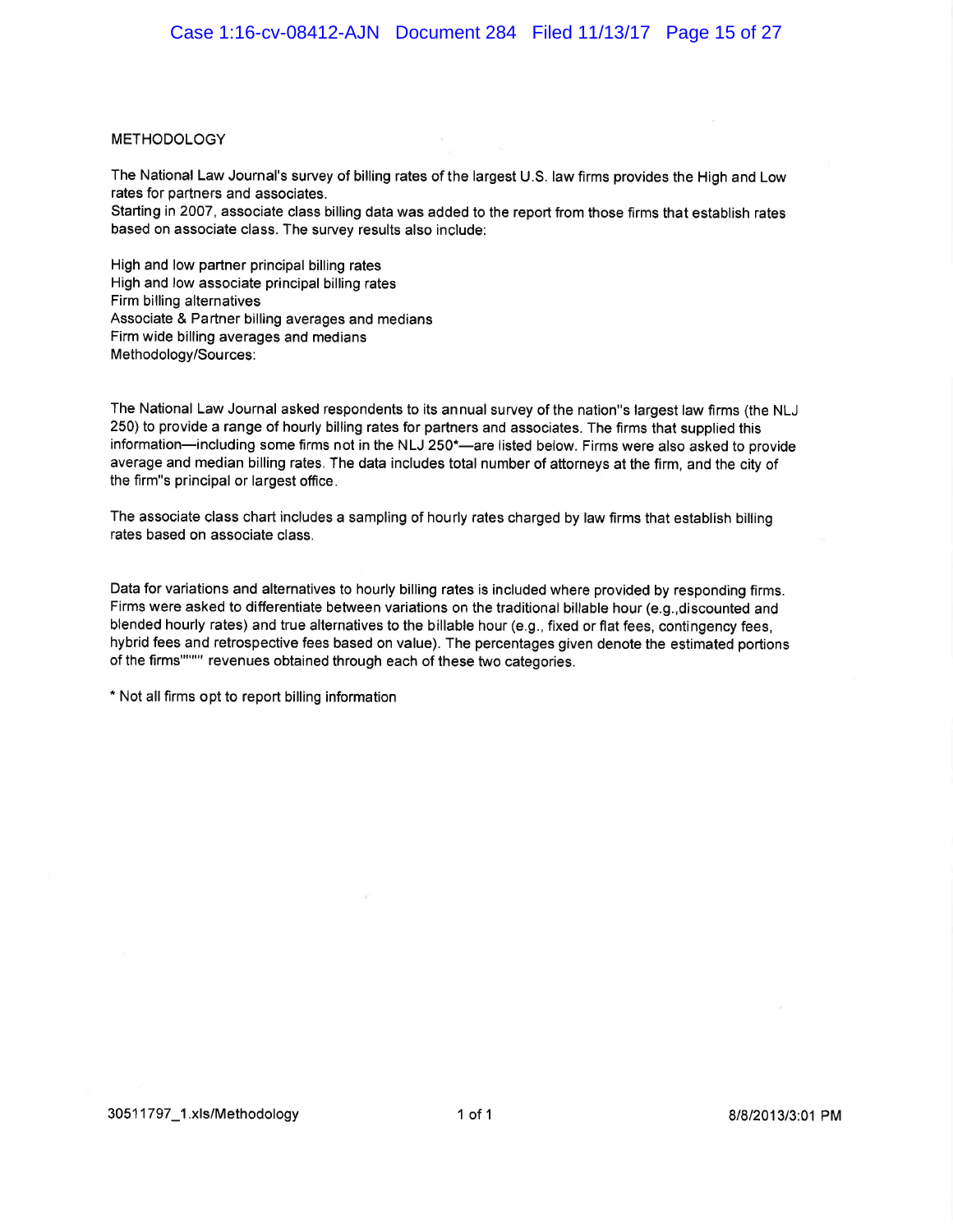#### **METHODOLOGY**

The National Law Journal's survey of billing rates of the largest U.S. law firms provides the High and Low rates for partners and associates.

Starting in 2007, associate class billing data was added to the report from those firms that establish rates based on associate class. The survey results also include:

High and low partner principal billing rates High and low associate principal billing rates Firm billing alternatives Associate & Partner billing averages and medians Firm wide billing averages and medians Methodology/Sources:

The National Law Journal asked respondents to its an nual survey of the nation"s largest law firms (the NLJ 250) to provide a range of hourly billing rates for partners and associates. The firms that supplied this information-including some firms not in the NLJ 250\*-are listed below. Firms were also asked to provide average and median billing rates. The data includes total number of attorneys at the firm, and the city of the firm"s principal or largest office.

The associate class chart includes a sampling of hourly rates charged by law firms that establish billing rates based on associate class.

Data for variations and alternatives to hourly billing rates is included where provided by responding firms. Firms were asked to differentiate between variations on the traditional billable hour (e.g.,discounted and blended hourly rates) and true alternatives to the billable hour (e.9., fixed or flat fees, contingency fees, hybrid fees and retrospective fees based on value). The percentages given denote the estimated portions of the firms"""" revenues obtained through each of these two categories.

\* Not all firms opt to report billing information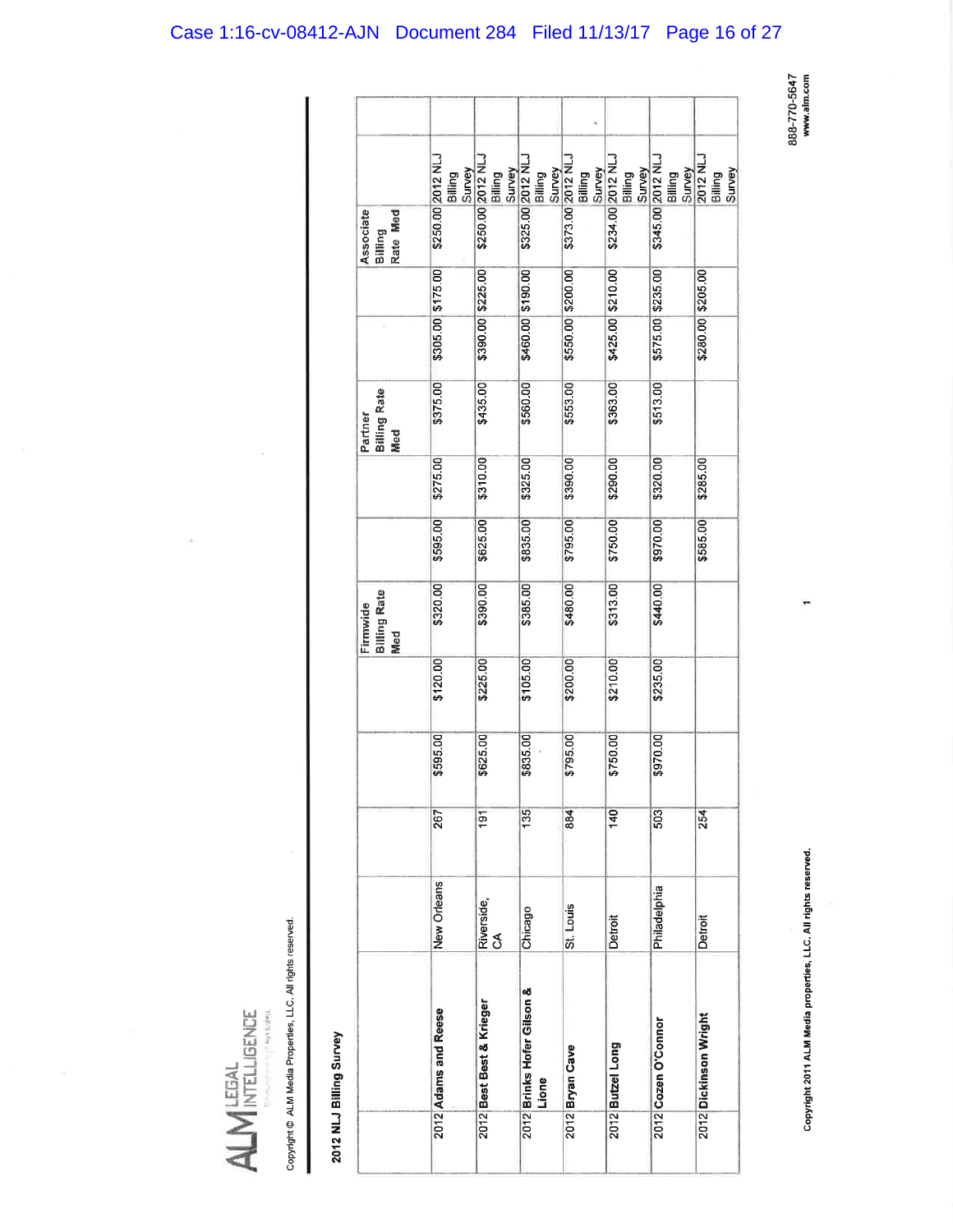# Case 1:16-cv-08412-AJN Document 284 Filed 11/13/17 Page 16 of 27

888-770-5647<br>www.alm.com

| Ь<br>۱<br>١<br>Ì<br>r |  |
|-----------------------|--|

Copyright @ ALM Media Properties, LLC. All rights reserved.

# 2012 NLJ Billing Survey

|                                        | Survey<br>Billing    | Survey<br>Billing        |                                     | Billing                     | Survey<br>Billing           | Billing             | Survey<br>2012 NLJ<br>Survey<br>Billing |
|----------------------------------------|----------------------|--------------------------|-------------------------------------|-----------------------------|-----------------------------|---------------------|-----------------------------------------|
| Associate<br>Rate Med<br>Billing       | \$250.00 2012 NLJ    | \$250.00 2012 NLJ        | \$325.00 2012 NLJ<br>Billing        | Survey<br>\$373.00 2012 NLJ | Survey<br>\$234.00 2012 NLJ | \$345.00 2012 NLJ   |                                         |
|                                        |                      |                          |                                     |                             |                             |                     |                                         |
|                                        | \$305.00 \$175.00    | \$390.00 \$225.00        | \$460.00 \$190.00                   | \$550.00 \$200.00           | \$425.00 \$210.00           | \$575.00 \$235.00   | \$280.00 \$205.00                       |
| <b>Billing Rate</b><br>Partner<br>Med  | \$375.00             | \$435.00                 | \$560.00                            | \$553.00                    | \$363.00                    | \$513.00            |                                         |
|                                        | \$275.00             | \$310.00                 | \$325.00                            | \$390.00                    | \$290.00                    | \$320.00            | \$285.00                                |
|                                        | \$595.00             | \$625.00                 | \$835.00                            | \$795.00                    | \$750.00                    | \$970.00            | \$585.00                                |
| <b>Billing Rate</b><br>Firmwide<br>Med | \$320.00             | \$390.00                 | \$385.00                            | \$480.00                    | \$313.00                    | \$440.00            |                                         |
|                                        | \$120.00             | \$225.00                 | \$105.00                            | \$200.00                    | \$210.00                    | \$235.00            |                                         |
|                                        | \$595.00             | \$625.00                 | \$835.00                            | \$795.00                    | \$750.00                    | \$970.00            |                                         |
|                                        | 267                  | 191                      | 135                                 | 884                         | 140                         | 503                 | 254                                     |
|                                        | New Orleans          | Riverside,<br>CA         | Chicago                             | St. Louis                   | Detroit                     | Philadelphia        | Detroit                                 |
|                                        | 2012 Adams and Reese | 2012 Best Best & Krieger | 2012 Brinks Hofer Gilson &<br>Lione | 2012 Bryan Cave             | 2012 Butzel Long            | 2012 Cozen O'Connor | 2012 Dickinson Wright                   |
|                                        |                      |                          |                                     |                             |                             |                     |                                         |

Copyright 2011 ALM Media properties, LLC. All rights reserved.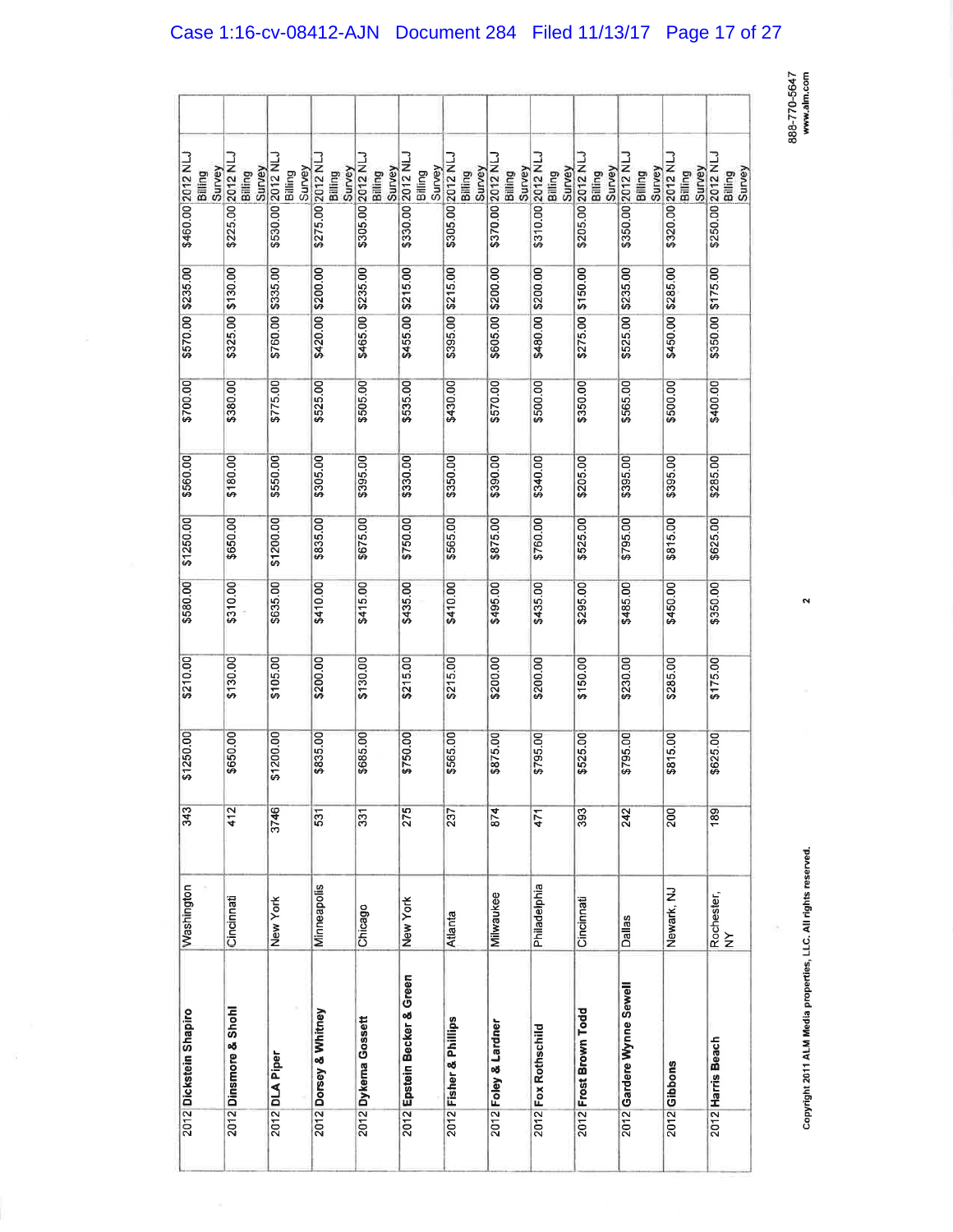| ı                |
|------------------|
| j                |
| ׅ֖֖֚֚֚֚֡֡֬֝<br>י |
| į<br>֦֧֚֓        |
|                  |

 $\bar{\mathbf{N}}$ 

| 2012 Dickstein Shapiro      | Washington       | 343  | \$1250.00 | \$210.00 | \$580.00 | \$1250.00 | \$560.00 | \$700.00 | \$570.00 \$235.00 | \$460.00 2012 NLJ<br>Survey<br>Billing       |
|-----------------------------|------------------|------|-----------|----------|----------|-----------|----------|----------|-------------------|----------------------------------------------|
| 2012 Dinsmore & Shohl       | Cincinnati       | 412  | \$650.00  | \$130.00 | \$310.00 | \$650.00  | \$180.00 | \$380.00 | \$325.00 \$130.00 | \$225.00 2012 NLJ<br>Survey<br>Billing       |
| 2012 DLA Piper              | New York         | 3746 | \$1200.00 | \$105.00 | \$635.00 | \$1200.00 | \$550.00 | \$775.00 | \$760.00 \$335.00 | \$530.00 2012 NLJ<br>Survey<br>Billing       |
| 2012 Dorsey & Whitney       | Minneapolis      | 531  | \$835.00  | \$200.00 | \$410.00 | \$835.00  | \$305.00 | \$525.00 | \$420.00 \$200.00 | \$275.00 2012 NL<br>Survey<br>Billing        |
| 2012 Dykema Gossett         | Chicago          | 331  | \$685.00  | \$130.00 | \$415.00 | \$675.00  | \$395.00 | \$505.00 | \$465.00 \$235.00 | \$305.00 2012 NLJ<br>Survey<br>Billing       |
| 2012 Epstein Becker & Green | New York         | 275  | \$750.00  | \$215.00 | \$435.00 | \$750.00  | \$330.00 | \$535.00 | \$455.00 \$215.00 | <b>S330.00 2012 NLJ</b><br>Survey<br>Billing |
| 2012 Fisher & Phillips      | Atlanta          | 237  | \$565.00  | \$215.00 | \$410.00 | \$565.00  | \$350.00 | \$430.00 | \$395.00 \$215.00 | \$305.00 2012 NLJ<br>Survey<br>Billing       |
| 2012 Foley & Lardner        | Milwaukee        | 874  | \$875.00  | \$200.00 | \$495.00 | \$875.00  | \$390.00 | \$570.00 | \$605.00 \$200.00 | \$370.00 2012 NLJ<br>Survey<br>Billing       |
| 2012 Fox Rothschild         | Philadelphia     | 471  | \$795.00  | \$200.00 | \$435.00 | \$760.00  | \$340.00 | \$500.00 | \$480.00 \$200.00 | \$310.00 2012 NL<br>Survey<br>Billing        |
| 2012 Frost Brown Todd       | Cincinnati       | 393  | \$525.00  | \$150.00 | \$295.00 | \$525.00  | \$205.00 | \$350.00 | \$275.00 \$150.00 | \$205.00 2012 NL.<br>Survey<br>Billing       |
| 2012 Gardere Wynne Sewell   | <b>Dallas</b>    | 242  | \$795.00  | \$230.00 | \$485.00 | \$795.00  | \$395.00 | \$565.00 | \$525.00 \$235.00 | \$350.00 2012 NLJ<br>Survey<br>Billing       |
| 2012 Gibbons                | Newark, NJ       | 200  | \$815.00  | \$285.00 | \$450.00 | \$815.00  | \$395.00 | \$500.00 | \$450.00 \$285.00 | \$320.00 2012 NLJ<br>Survey<br>Billing       |
| 2012 Harris Beach           | Rochester,<br>NY | 189  | \$625.00  | \$175.00 | \$350.00 | \$625.00  | \$285.00 | \$400.00 | \$350.00 \$175.00 | \$250.00 2012 NLJ<br>Billing<br>Survey       |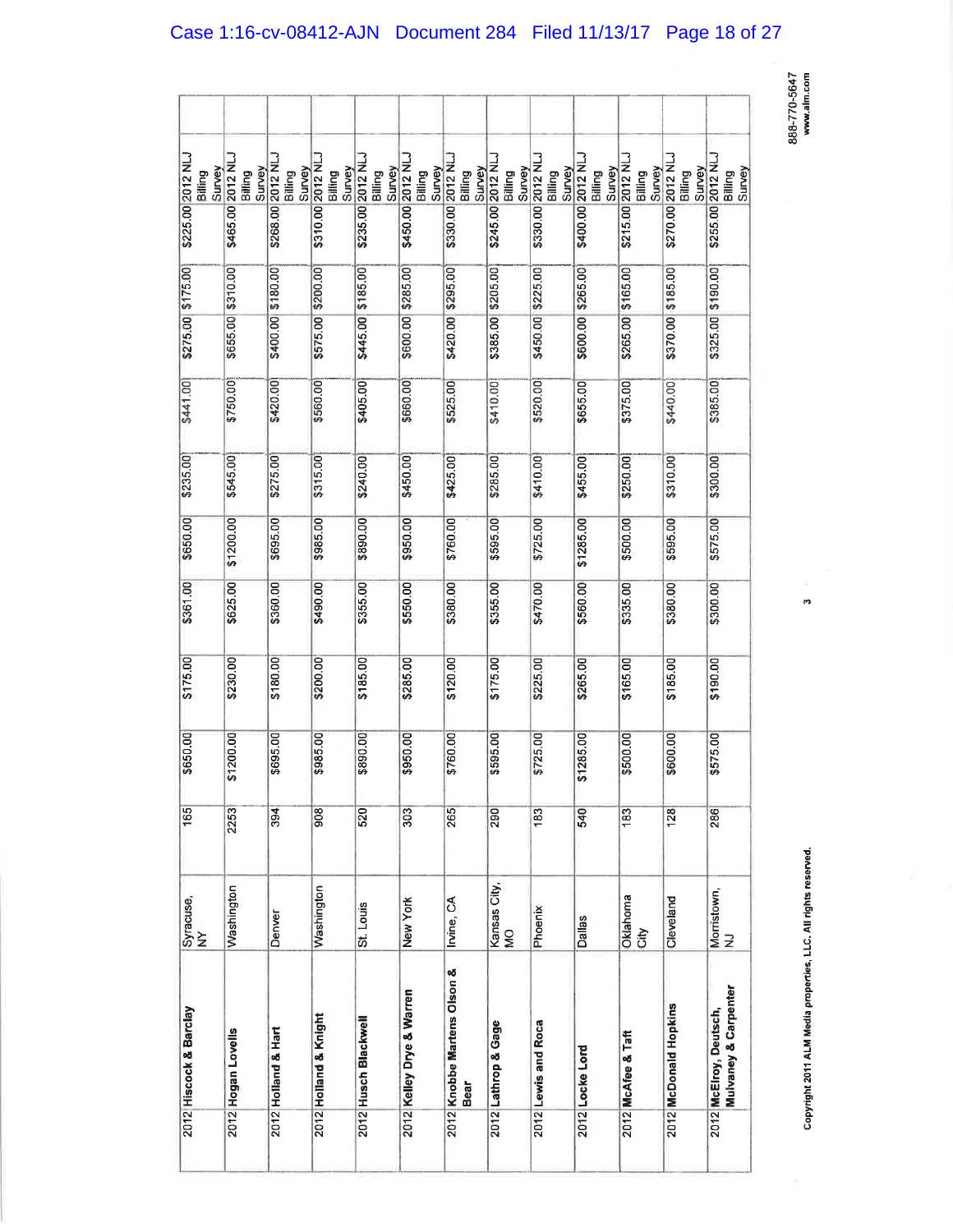888-770-5647<br>www.alm.com

| 2012 Hiscock & Barclay                                    | Syracuse,<br>$\geq$ | 165  | \$650.00  | \$175.00 | \$361.00 | \$650.00  | \$235.00 | \$441.001 | $$275.00 \, \frac{1}{3}175.00$ | \$225.00 2012 NLJ<br>Survey<br>Billing |  |
|-----------------------------------------------------------|---------------------|------|-----------|----------|----------|-----------|----------|-----------|--------------------------------|----------------------------------------|--|
| 2012 Hogan Lovells                                        | Washington          | 2253 | \$1200.00 | \$230.00 | \$625.00 | \$1200.00 | \$545.00 | \$750.00  | \$655.00 \$310.00              | \$465.00 2012 NI<br>Survey<br>Billing  |  |
| 2012 Holland & Hart                                       | Denver              | 394  | \$695.00  | \$180.00 | \$360.00 | \$695.00  | \$275.00 | \$420.00  | \$400.00 \$180.00              | \$268.00 2012 NLJ<br>Survey<br>Billing |  |
| 2012 Holland & Knight                                     | Washington          | 908  | \$985.00  | \$200.00 | \$490.00 | \$985.00  | \$315.00 | \$560.00  | \$575.00 \$200.00              | \$310.00 2012 NI<br>Survey<br>Billing  |  |
| 2012 Husch Blackwell                                      | St. Louis           | 520  | \$890.00  | \$185.00 | \$355.00 | \$890.00  | \$240.00 | \$405.00  | \$445.00 \$185.00              | \$235.00 2012 NLJ<br>Survey<br>Billing |  |
| 2012 Kelley Drye & Warren                                 | New York            | 303  | \$950.00  | \$285.00 | \$550.00 | \$950.00  | \$450.00 | \$660.00  | \$600.00 \$285.00              | \$450.00 2012 NLJ<br>Survey<br>Billing |  |
| 2012 Knobbe Martens Olson &<br>Bear                       | Irvine, CA          | 265  | \$760.00  | \$120.00 | \$380.00 | \$760.00  | \$425.00 | \$525.00  | \$420.00 \$295.00              | \$330.00 2012 NLJ<br>Survey<br>Billing |  |
| 2012 Lathrop & Gage                                       | Kansas City,<br>QM  | 290  | \$595.00  | \$175.00 | \$355.00 | \$595.00  | \$285.00 | \$410.00  | \$385.00 \$205.00              | \$245.00 2012 NL<br>Survey<br>Billing  |  |
| 2012 Lewis and Roca                                       | Phoenix             | 183  | \$725.00  | \$225.00 | \$470.00 | \$725.00  | \$410.00 | \$520.00  | \$450.00 \$225.00              | \$330.00 2012 NLJ<br>Survey<br>Billing |  |
| 2012 Locke Lord                                           | <b>Dallas</b>       | 540  | \$1285.00 | \$265.00 | \$560.00 | \$1285.00 | \$455.00 | \$655.00  | \$600.00 \$265.00              | \$400.00 2012 NLJ<br>Survey<br>Billing |  |
| 2012 McAfee & Taft                                        | Oklahoma<br>City    | 183  | \$500.00  | \$165.00 | \$335.00 | \$500.00  | \$250.00 | \$375.00  | \$265.00 \$165.00              | \$215.00 2012 NLJ<br>Survey<br>Billing |  |
| 2012 McDonald Hopkins                                     | Cleveland           | 128  | \$600.00  | \$185.00 | \$380.00 | \$595.00  | \$310.00 | \$440.00  | \$370.00 \$185.00              | \$270.00 2012 NL<br>Survey<br>Billing  |  |
| <b>Mulvaney &amp; Carpenter</b><br>2012 McElroy, Deutsch, | Morristown,<br>NJ   | 286  | \$575.00  | \$190.00 | \$300.00 | \$575.00  | \$300.00 | \$385.00  | \$325.00 \$190.00              | \$255.00 2012 NLJ<br>Survey<br>Billing |  |

Copyright 2011 ALM Media properties, LLC. All rights reserved.

'n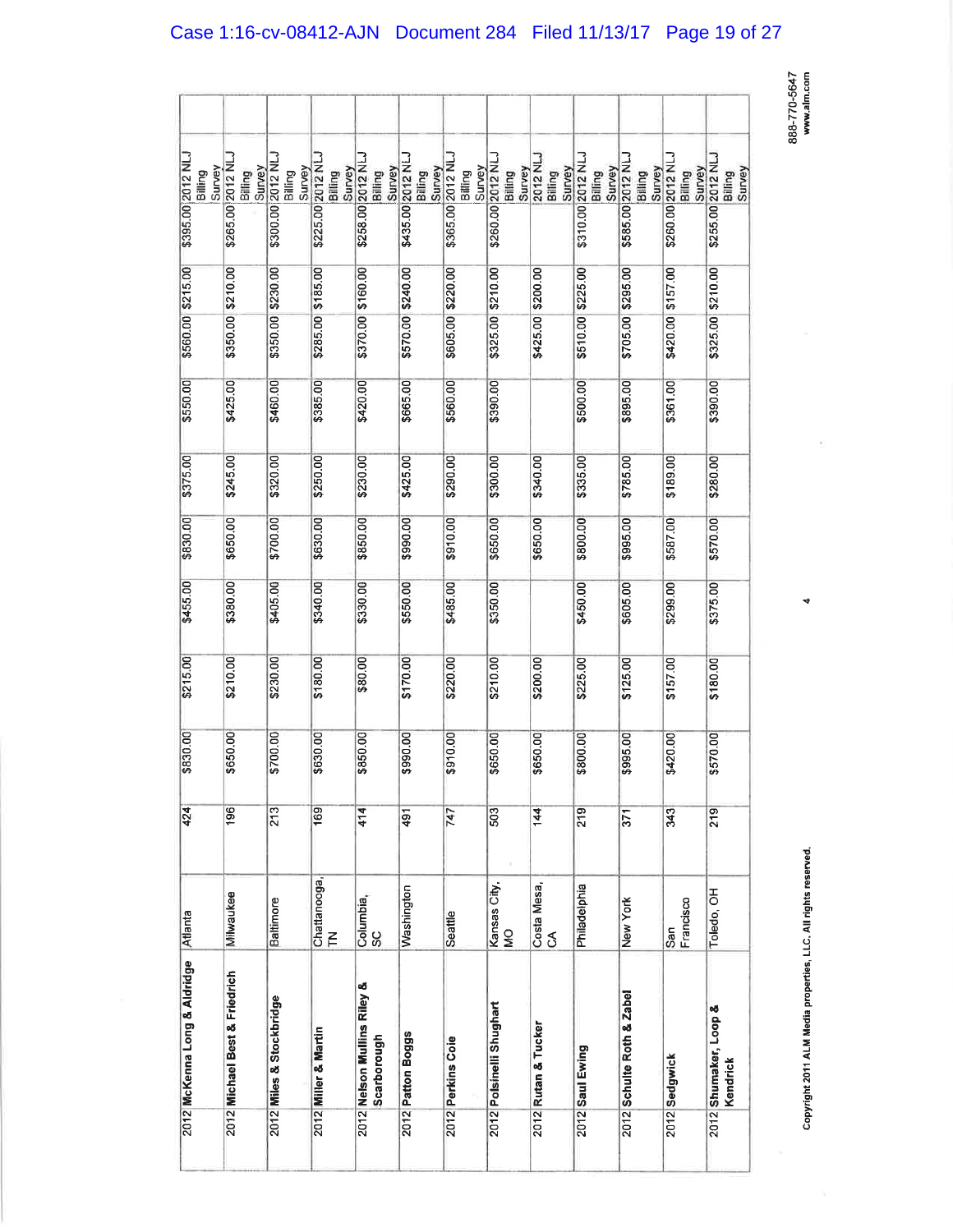888-770-564<br>www.alm.com<br>www.alm.com

4

Copyright 20ll ALM Media prcpert¡es, LLC. All r¡ghts reserved,

Copyright 2011 ALM Media properties, LLC. All rights reserved.

| \$395.00 2012 NLJ<br>Survey<br>Billing | \$265.00 2012 NI<br>Billing<br>Survey | \$300.00 2012 NLJ<br>Survey<br>Billing | \$225.00 2012 NLJ<br>Survey<br>Billing | \$258.00 2012 NL<br>Survey<br>Billing      | \$435.00 2012 NLJ<br>Survey<br>Billing | \$365.00 2012 NLJ<br>Survey<br>Billing | \$260.00 2012 NL<br>Survey<br>Billing | 2012 NLJ<br>Billing<br>Survey | \$310.00 2012 NLJ<br>Survey<br>Billing | \$585.00 2012 NLJ<br>Survey<br>Billing | \$260.00 2012 NI<br>Survey<br>Billing | \$255.00 2012 N<br>Billing<br>Survey |
|----------------------------------------|---------------------------------------|----------------------------------------|----------------------------------------|--------------------------------------------|----------------------------------------|----------------------------------------|---------------------------------------|-------------------------------|----------------------------------------|----------------------------------------|---------------------------------------|--------------------------------------|
|                                        |                                       |                                        |                                        |                                            |                                        |                                        |                                       |                               |                                        |                                        |                                       |                                      |
| \$560.00 \$215.00                      | \$350.00 \$210.00                     | \$350.00 \$230.00                      | \$285.00 \$185.00                      | \$370.00 \$160.00                          | \$570.00 \$240.00                      | \$605.00 \$220.00                      | \$325.00 \$210.00                     | \$425.00 \$200.00             | \$510.00 \$225.00                      | \$295.00                               | \$420.00 \$157.00                     | \$325.00 \$210.00                    |
|                                        |                                       |                                        |                                        |                                            |                                        |                                        |                                       |                               |                                        | \$705.00                               |                                       |                                      |
| \$550.00                               | \$425.00                              | \$460.00                               | \$385.00                               | \$420.00                                   | \$665.00                               | \$560.00                               | \$390.00                              |                               | \$500.00                               | \$895.00                               | \$361.00                              | \$390.00                             |
| \$375.00                               | \$245.00                              | \$320.00                               | \$250.00                               | \$230.00                                   | \$425.00                               | \$290.00                               | \$300.00                              | \$340.00                      | \$335.00                               | \$785.00                               | \$189.00                              | \$280.00                             |
| \$830.00                               | \$650.00                              | \$700.00                               | \$630.00                               | \$850.00                                   | \$990.00                               | \$910.00                               | \$650.00                              | \$650.00                      | \$800.00                               | \$995.00                               | \$587.00                              | \$570.00                             |
| \$455.00                               | \$380.00                              | \$405.00                               | \$340.00                               | \$330.00                                   | \$550.00                               | \$485.00                               | \$350.00                              |                               | \$450.00                               | \$605.00                               | \$299.00                              | \$375.00                             |
| \$215.00                               | \$210.00                              | \$230.00                               | \$180.00                               | \$80.00                                    | \$170.00                               | \$220.00                               | \$210.00                              | \$200.00                      | \$225.00                               | \$125.00                               | \$157.00                              | \$180.00                             |
| \$830.00                               | \$650.00                              | \$700.00                               | \$630.00                               | \$850.00                                   | \$990.00                               | \$910.00                               | \$650.00                              | \$650.00                      | \$800.00                               | \$995.00                               | \$420.00                              | \$570.00                             |
| 424                                    | 196                                   | 213                                    | 169                                    | 414                                        | 491                                    | 747                                    | 503                                   | 144                           | 219                                    | 371                                    | 343                                   | 219                                  |
| Atlanta                                | Milwaukee                             | Baltimore                              | Chattanooga<br>$\leq$                  | Columbia,<br>SC                            | Washington                             | Seattle                                | Kansas City,<br>Q                     | Costa Mesa,<br>CA             | Philadelphia                           | New York                               | Francisco<br>San                      | Toledo, OH                           |
| 2012 McKenna Long & Aldridge           | 2012 Michael Best & Friedrich         | 2012 Miles & Stockbridge               | 2012 Miller & Martin                   | 2012 Nelson Mullins Riley &<br>Scarborough | 2012 Patton Boggs                      | 2012 Perkins Coie                      | 2012 Polsinelli Shughart              | 2012 Rutan & Tucker           | 2012 Saul Ewing                        | 2012 Schulte Roth & Zabel              | 2012 Sedgwick                         | 2012 Shumaker, Loop &<br>Kendrick    |
|                                        |                                       |                                        |                                        |                                            |                                        |                                        |                                       |                               |                                        |                                        |                                       |                                      |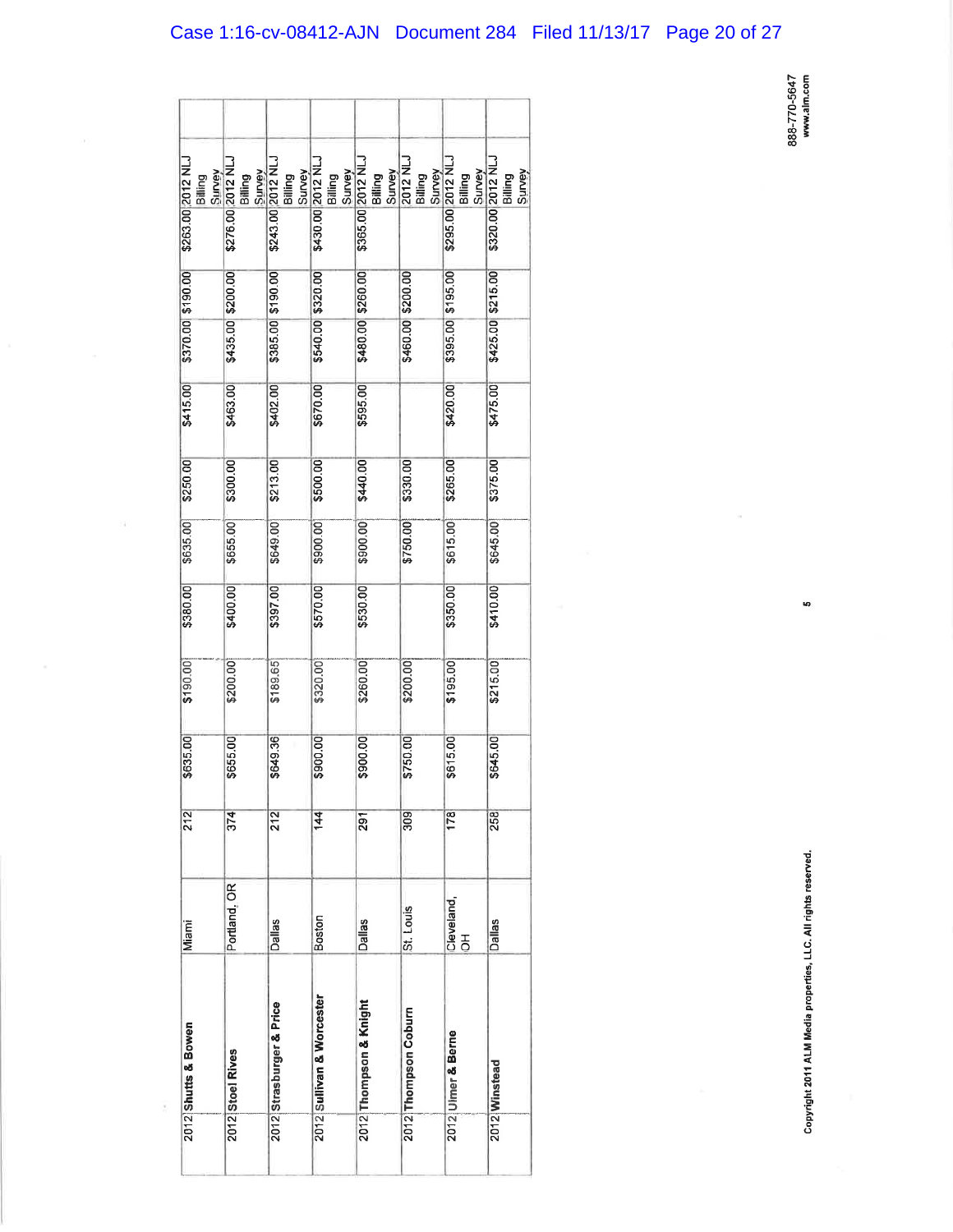| \$263.00 2012 NLJ<br>Survey<br>Billing | \$276.00 2012 NLJ<br>Survey<br>Billing | \$243.00 2012 NLJ<br>Survey<br>Billing | \$430.00 2012 NLJ<br>Survey<br>Billing | \$365.00 2012 NLJ      | Billing<br>Survey<br>2012 NLJ<br>Billing<br>Survey | \$295.00 2012 NLJ<br>Survey<br>Billing | \$320.00 2012 NLJ<br>Survey<br>Billing |
|----------------------------------------|----------------------------------------|----------------------------------------|----------------------------------------|------------------------|----------------------------------------------------|----------------------------------------|----------------------------------------|
|                                        |                                        |                                        |                                        |                        |                                                    |                                        |                                        |
| \$370.00 \$190.00                      |                                        | \$385.00 \$190.00                      |                                        | \$480.00 \$260.00      | \$200.00                                           | \$395.00 \$195.00                      | \$425.00 \$215.00                      |
|                                        | \$435.00 \$200.00                      |                                        | \$540.00 \$320.00                      |                        | \$460.00                                           |                                        |                                        |
| \$415.00                               | \$463.00                               | \$402.00                               | \$670.00                               | \$595.00               |                                                    | \$420.00                               | \$475.00                               |
| \$250.00                               | \$300.00                               | \$213.00                               | \$500.00                               | \$440.00               | \$330.00                                           | \$265.00                               | \$375.00                               |
| \$635.00                               | \$655.00                               | \$649.00                               | \$900.00                               | \$900.00               | \$750.00                                           | \$615.00                               | \$645.00                               |
| \$380.00                               | \$400.00                               | \$397.00                               | \$570.00                               | \$530.00               |                                                    | \$350.00                               | \$410.00                               |
| \$190.00                               | \$200.00                               | \$189.65                               | \$320.00                               | \$260.00               | \$200.00                                           | \$195.00                               | \$215.00                               |
| \$635.00                               | \$655.00                               | \$649.36                               | \$900.00                               | \$900.00               | \$750.00                                           | \$615.00                               | \$645.00                               |
| 212                                    | 374                                    | 212                                    | $\frac{44}{5}$                         | 291                    | 309                                                | 178                                    | 258                                    |
| Miami                                  | Portland, OR                           | <b>Dallas</b>                          | Boston                                 | Dallas                 | St. Louis                                          | Cleveland,<br>$\frac{1}{\sigma}$       | <b>Dallas</b>                          |
| 2012 Shutts & Bowen                    | 2012 Stoel Rives                       | 2012 Strasburger & Price               | 2012 Sullivan & Worcester              | 2012 Thompson & Knight | 2012 Thompson Coburn                               | 2012 Ulmer & Berne                     | 2012 Winstead                          |
|                                        |                                        |                                        |                                        |                        |                                                    |                                        |                                        |

Ēğ.

Copyright 2011 ALM Media properties, LLC. All rights reserved.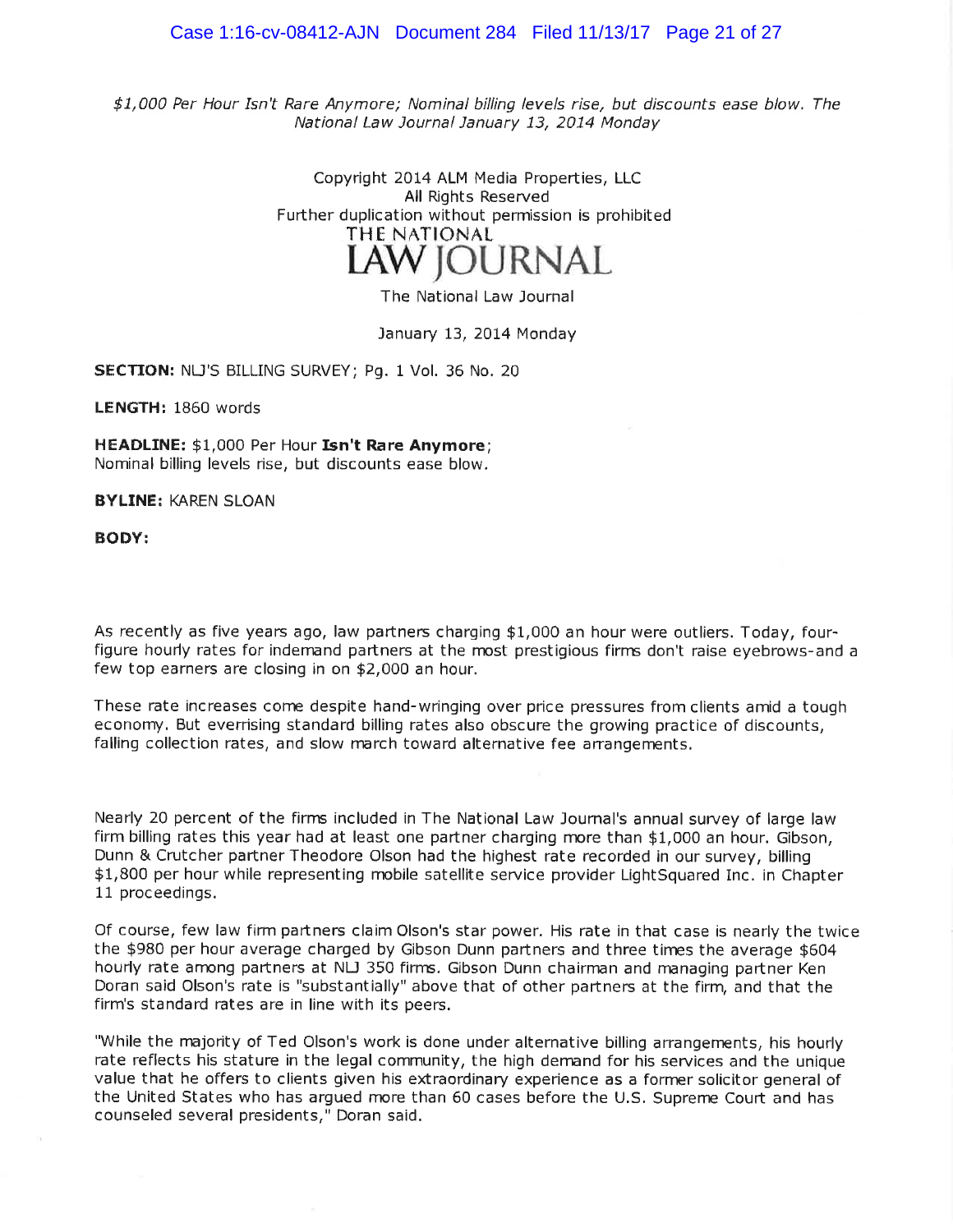#### Case 1:16-cv-08412-AJN Document 284 Filed 11/13/17 Page 21 of 27

 $$1,000$  Per Hour Isn't Rare Anymore; Nominal billing levels rise, but discounts ease blow. The National Law Journal January 13, 2014 Monday

> Copyright 2014 ALM Media Properties, LLC All Rights Reserved Further duplication without permission is prohibited THE NATIONAL

> > The National Law Journal

#### January 13, 2014 Monday

SECTION: NLJ'S BILLING SURVEY; Pg. 1 Vol. 36 No. 20

LENGTH: 1860 words

HEADLINE: \$1,000 Per Hour Isn't Rare Anymore; Nominal billing levels rise, but discounts ease blow.

BYLTNË: KAREN SLOAN

BODY:

As recently as five years ago, law partners charging \$1,000 an hour were outliers. Today, fourfigure hourly rates for indemand partners at the most prestigious firms don't raise eyebrows-and a few top earners are closing in on \$2,000 an hour.

These rate increases come despite hand-wringing over price pressures from clients amid a tough econonry. But everrising standard billing rates also obscure the growing practice of discounts, falling collection rates, and slow march toward alternative fee arrangements.

Nearly 20 percent of the firms included in The National Law Journal's annual suruey of large law firm billing rates this year had at least one partner charging rnore than \$1,000 an hour. Gibson, Dunn & Crutcher partner Theodore Olson had the highest rate recorded in our survey, billing \$1,800 per hour while representing mobile satellite service provider LightSquared Inc. in Chapter 11 proceedings.

Of course, few law firm paftners claim Olson's star power. His rate in that case is nearly the twice the \$980 per hour average charged by Gibson Dunn partners and three times the average \$604 hourly rate among partners at NLJ 350 firms. Gibson Dunn chairman and managing partner Ken Doran said Olson's rate is "substantially" above that of other partners at the firm, and that the firm's standard rates are in line with its peers.

"While the majority of Ted Olson's work is done under alternative billing arrangements, his hourly rate reflects his stature in the legal community, the high dernand for his services and the unique value that he offers to clients given his extraordinary experience as a former solicitor general of the United States who has argued more than 60 cases before the U.S, Suprenre Court and has counseled several presidents," Doran said.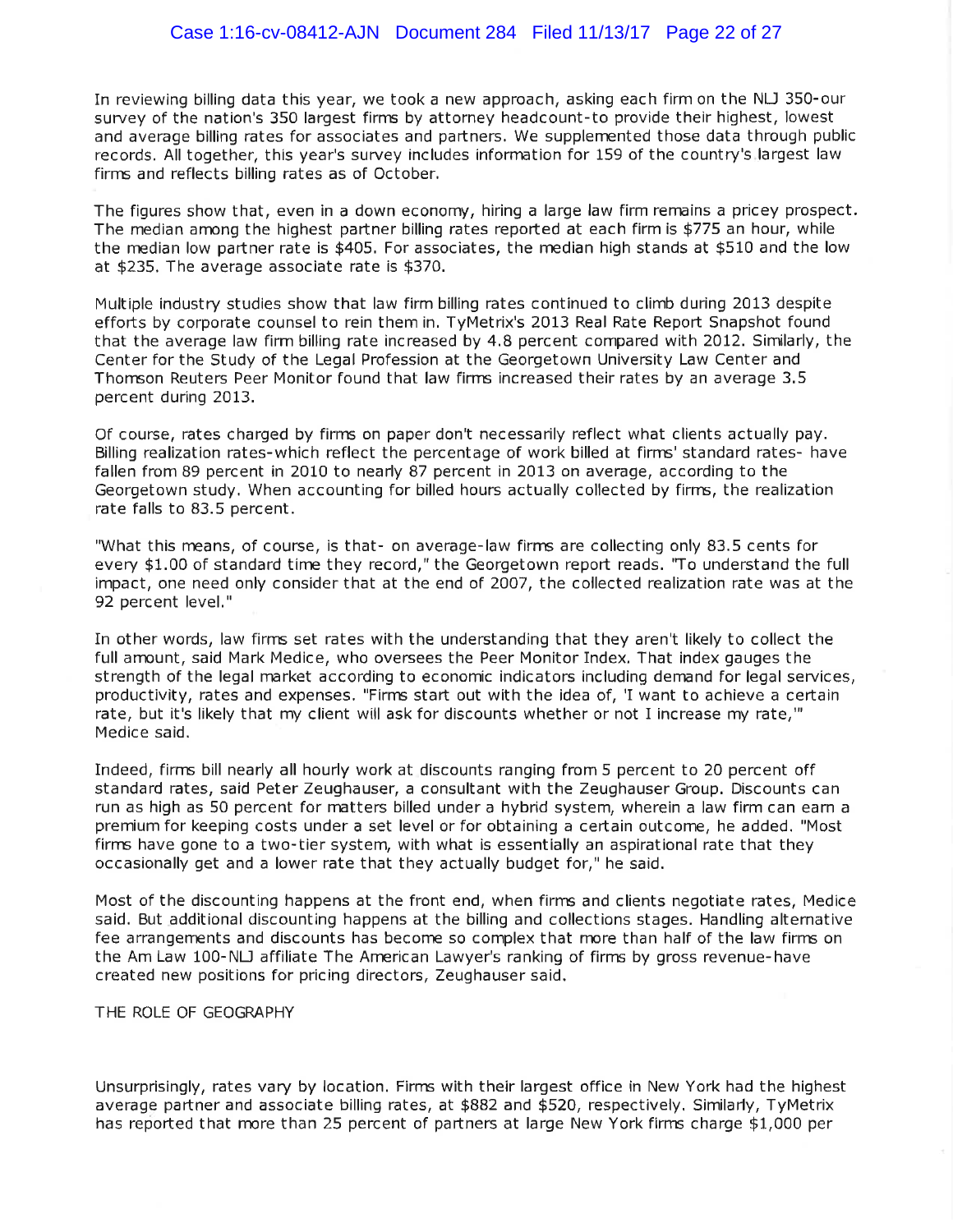In reviewing billing data this year, we took a new approach, asking each firmon the NU 350-our survey of the nation's 350 largest firnæ by attorney headcount-to provide their highest, lowest and average billing rates for associates and partners. We supplemented those data through public records. All together, this year's survey includes information for 159 of the country's largest law firns and reflects billing rates as of October.

The figures show that, even in a down economy, hiring a large law firm remains a pricey prospect. The median among the highest partner billing rates reported at each firm is \$775 an hour, while the median low partner rate is \$405. For associates, the median high stands at \$510 and the low at \$235, The average associate rate is \$370.

Multiple industry studies show that law firm billing rates continued to climb during 2Ot3 despite efforts by corporate counsel to rein them in. TyMetrix's 2013 Real Rate Repoft Snapshot found that the average law firm billing rate increased by 4.8 percent compared with 2012. Similarly, the Center for the Study of the Legal Profession at the Georgetown University Law Center and Thomson Reuters Peer Monitor found that law firms increased their rates by an average 3.5 percent during 2013.

Of course, rates charged by firns on paper don't necessarily reflect what clients actually pay. Billing realization rates-which reflect the percentage of work billed at firnrs'standard rates- have fallen from 89 percent in 2010 to nearly 87 percent in 2013 on average, according to the Georgetown study. When accounting for billed hours actually collected by firns, the realization rate falls to 83.5 percent.

"What this means, of course, is that- on average-law firms are collecting only 83.5 cents for every \$1.00 of standard time they record," the Georgetown report reads. "To understand the full impact, one need only consider that at the end of 2007, the collected realization rate was at the 92 percent level."

In other words, law firrs set rates with the understanding that they aren't likely to collect the full amount, said Mark Medice, who oversees the Peer Monitor Index. That index gauges the strength of the legal market according to economic indicators including demand for legal services, productivity, rates and expenses. "Firms start out with the idea of, 'I want to achieve a certain rate, but it's likely that my client will ask for discounts whether or not I increase my rate,"' Medice said.

Indeed, firns bill nearly all hourly work at discounts ranging from 5 percent to 20 percent off standard rates, said Peter Zeughauser, a consultant with the Zeughauser Group. Discounts can run as high as 50 percent for rnatters billed under a hybrid system, wherein a law firm can earn <sup>a</sup> premium for keeping costs under a set level or for obtaining a ceftain outcome, he added, "Most firns have gone to a two-tier system, with what is essentially an aspirational rate that they occasionally get and a lower rate that they actually budget for," he said.

Most of the discounting happens at the front end, when firns and clients negotiate rates, Medice said. But additional discounting happens at the billing and collections stages. Handling alternative fee arrangements and discounts has become so complex that more than half of the law firms on the Am Law 100-NLJ affiliate The American Lawyer's ranking of firms by gross revenue-have created new positions for pricing directors, Zeughauser said.

THE ROLE OF GEOGRAPHY

Unsurprisingly, rates vary by location. Firns with their largest office in New York had the highest average partner and associate billing rates, at \$BB2 and \$520, respectively. Similarly, TyMetrix has reported that more than 25 percent of partners at large New York firms charge \$1,000 per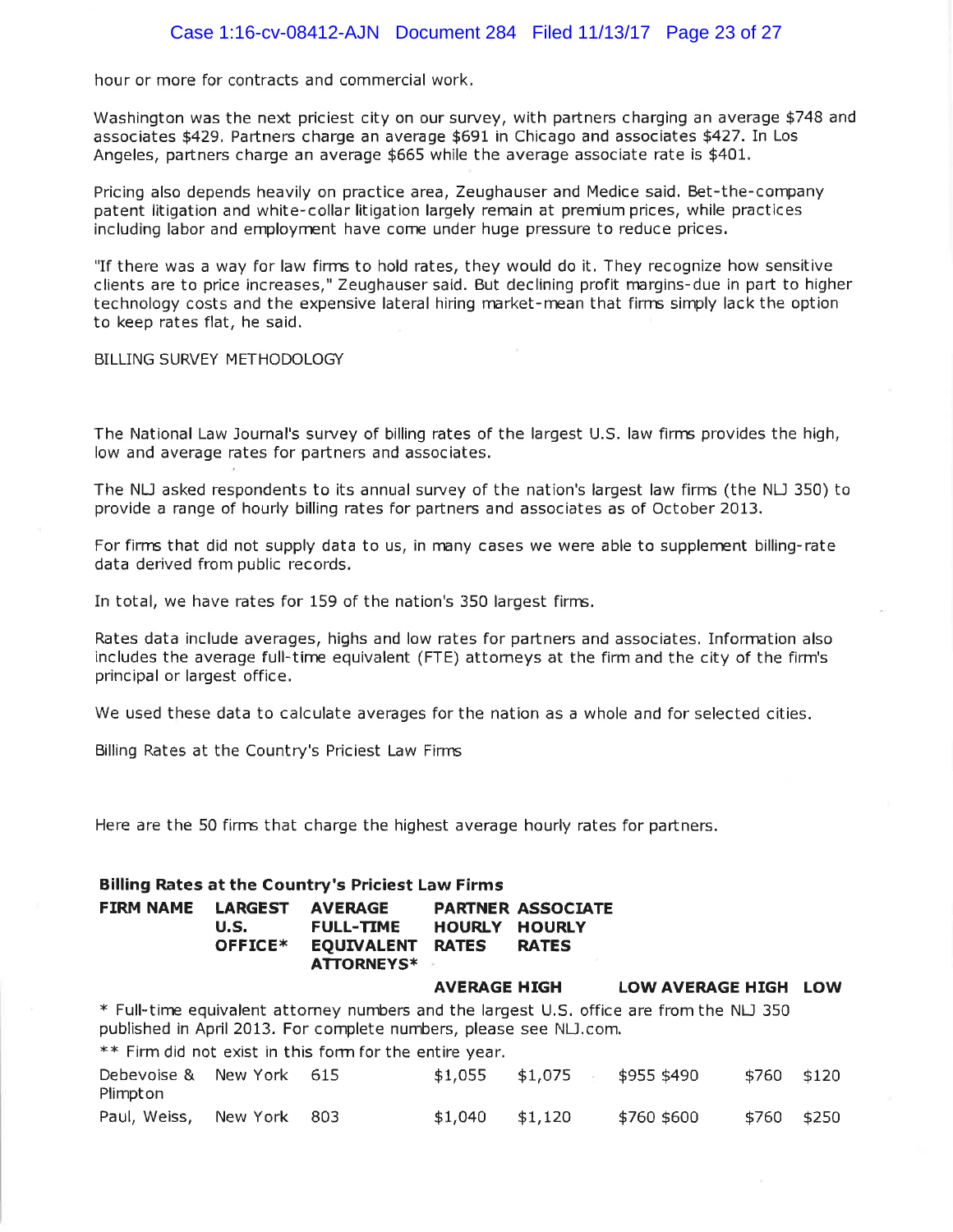hour or more for contracts and commercial work

Washington was the next priciest city on our survey, with partners charging an average \$748 and associates \*429. Partners charge an average \$691 in Chicago and associates \$427. In Los Angeles, partners charge an average \$665 while the average associate rate is \$401.

Pricing also depends heavily on practice area, Zeughauser and Medice said. Bet-the-company patent litigation and white-collar litigation largely remain at premium prices, while practices including labor and employrrent have come under huge pressure to reduce prices.

"If there was a way for law firms to hold rates, they would do it. They recognize how sensitive clients are to price increases," Zeughauser said. But declining profit margins-due in part to higher technology costs and the expensive lateral hiring market-mean that firms simply lack the option to keep rates flat, he said.

BILLING SURVEY METHODOLOGY

The National Law Journal's survey of billing rates of the largest U.S. law firns provides the high, low and average rates for partners and associates.

The NU asked respondents to its annual survey of the nation's largest law firns (the NU 350) to provide a range of hourly billing rates for partners and associates as of October 2013.

For firms that did not supply data to us, in many cases we were able to supplement billing-rate data derived from public records.

In total, we have rates for 159 of the nation's 350 largest firrns.

Rates data include averages, highs and low rates for paftners and associates. Inforrmtion also includes the average full-tirre equivalent (FTE) attomeys at the firm and the city of the firm's principal or largest office,

We used these data to calculate averages for the nation as a whole and for selected cities.

Billing Rates at the Country's Priciest Law Firns

Here are the 50 firms that charge the highest average hourly rates for partners.

| <b>Billing Rates at the Country's Priciest Law Firms</b>                                                                                                       |                                   |                                                                              |                               |                                                           |                         |       |       |  |  |
|----------------------------------------------------------------------------------------------------------------------------------------------------------------|-----------------------------------|------------------------------------------------------------------------------|-------------------------------|-----------------------------------------------------------|-------------------------|-------|-------|--|--|
| <b>FIRM NAME</b>                                                                                                                                               | <b>LARGEST</b><br>U.S.<br>OFFICE* | <b>AVERAGE</b><br><b>FULL-TIME</b><br><b>EQUIVALENT</b><br><b>ATTORNEYS*</b> | <b>HOURLY</b><br><b>RATES</b> | <b>PARTNER ASSOCIATE</b><br><b>HOURLY</b><br><b>RATES</b> |                         |       |       |  |  |
|                                                                                                                                                                |                                   |                                                                              | <b>AVERAGE HIGH</b>           |                                                           | <b>LOW AVERAGE HIGH</b> |       | LOW   |  |  |
| * Full-time equivalent attorney numbers and the largest U.S. office are from the NLJ 350<br>published in April 2013. For complete numbers, please see NLJ.com. |                                   |                                                                              |                               |                                                           |                         |       |       |  |  |
|                                                                                                                                                                |                                   | ** Firm did not exist in this form for the entire year.                      |                               |                                                           |                         |       |       |  |  |
| Debevoise &<br>Plimpton                                                                                                                                        | New York 615                      |                                                                              | \$1,055                       | \$1,075                                                   | \$955 \$490             | \$760 | \$120 |  |  |
| Paul, Weiss,                                                                                                                                                   | New York                          | 803                                                                          | \$1,040                       | \$1,120                                                   | \$760 \$600             | \$760 | \$250 |  |  |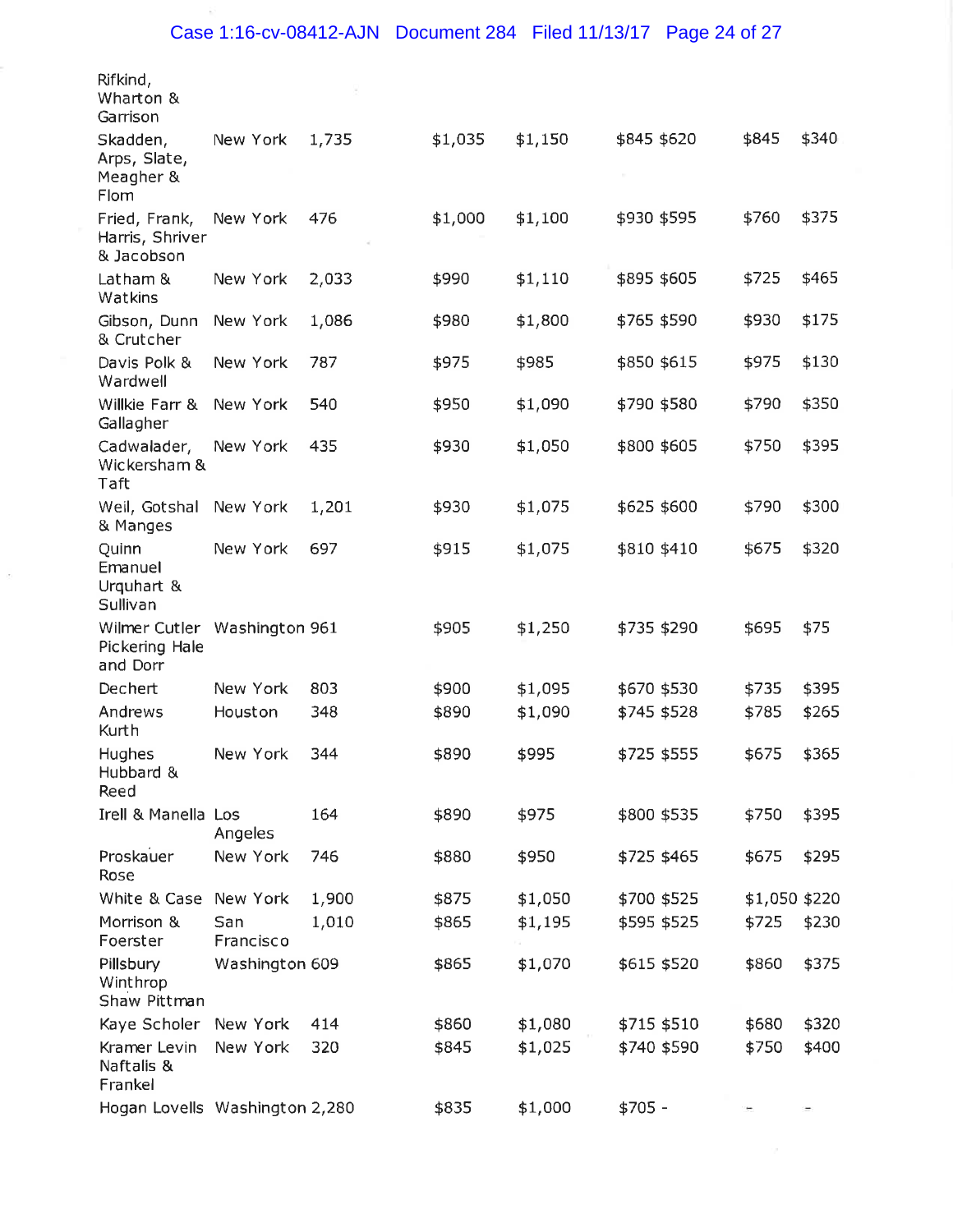| Rifkind,<br>Wharton &<br>Garrison                          |                  |       |         |         |             |               |       |
|------------------------------------------------------------|------------------|-------|---------|---------|-------------|---------------|-------|
| Skadden,<br>Arps, Slate,<br>Meagher &<br>Flom              | New York         | 1,735 | \$1,035 | \$1,150 | \$845 \$620 | \$845         | \$340 |
| Fried, Frank,<br>Harris, Shriver<br>& Jacobson             | New York         | 476   | \$1,000 | \$1,100 | \$930 \$595 | \$760         | \$375 |
| Latham &<br>Watkins                                        | New York         | 2,033 | \$990   | \$1,110 | \$895 \$605 | \$725         | \$465 |
| Gibson, Dunn<br>& Crutcher                                 | New York         | 1,086 | \$980   | \$1,800 | \$765 \$590 | \$930         | \$175 |
| Davis Polk &<br>Wardwell                                   | New York         | 787   | \$975   | \$985   | \$850 \$615 | \$975         | \$130 |
| Willkie Farr &<br>Gallagher                                | New York         | 540   | \$950   | \$1,090 | \$790 \$580 | \$790         | \$350 |
| Cadwalader,<br>Wickersham &<br>Taft                        | New York         | 435   | \$930   | \$1,050 | \$800 \$605 | \$750         | \$395 |
| Weil, Gotshal<br>& Manges                                  | New York         | 1,201 | \$930   | \$1,075 | \$625 \$600 | \$790         | \$300 |
| Quinn<br>Emanuel<br>Urquhart &<br>Sullivan                 | New York         | 697   | \$915   | \$1,075 | \$810 \$410 | \$675         | \$320 |
| Wilmer Cutler Washington 961<br>Pickering Hale<br>and Dorr |                  |       | \$905   | \$1,250 | \$735 \$290 | \$695         | \$75  |
| Dechert                                                    | New York         | 803   | \$900   | \$1,095 | \$670 \$530 | \$735         | \$395 |
| Andrews<br>Kurth                                           | Houston          | 348   | \$890   | \$1,090 | \$745 \$528 | \$785         | \$265 |
| Hughes<br>Hubbard &<br>Reed                                | New York         | 344   | \$890   | \$995   | \$725 \$555 | \$675         | \$365 |
| <b>Irell &amp; Manella Los</b>                             | Angeles          | 164   | \$890   | \$975   | \$800 \$535 | \$750         | \$395 |
| Proskauer<br>Rose                                          | New York         | 746   | \$880   | \$950   | \$725 \$465 | \$675         | \$295 |
| White & Case                                               | New York         | 1,900 | \$875   | \$1,050 | \$700 \$525 | \$1,050 \$220 |       |
| Morrison &<br>Foerster                                     | San<br>Francisco | 1,010 | \$865   | \$1,195 | \$595 \$525 | \$725         | \$230 |
| Pillsbury<br>Winthrop<br>Shaw Pittman                      | Washington 609   |       | \$865   | \$1,070 | \$615 \$520 | \$860         | \$375 |
| Kaye Scholer                                               | New York         | 414   | \$860   | \$1,080 | \$715 \$510 | \$680         | \$320 |
| Kramer Levin<br>Naftalis &<br>Frankel                      | New York         | 320   | \$845   | \$1,025 | \$740 \$590 | \$750         | \$400 |
| Hogan Lovells Washington 2,280                             |                  |       | \$835   | \$1,000 | $$705 -$    |               |       |

 $\langle \tilde{\gamma} \rangle$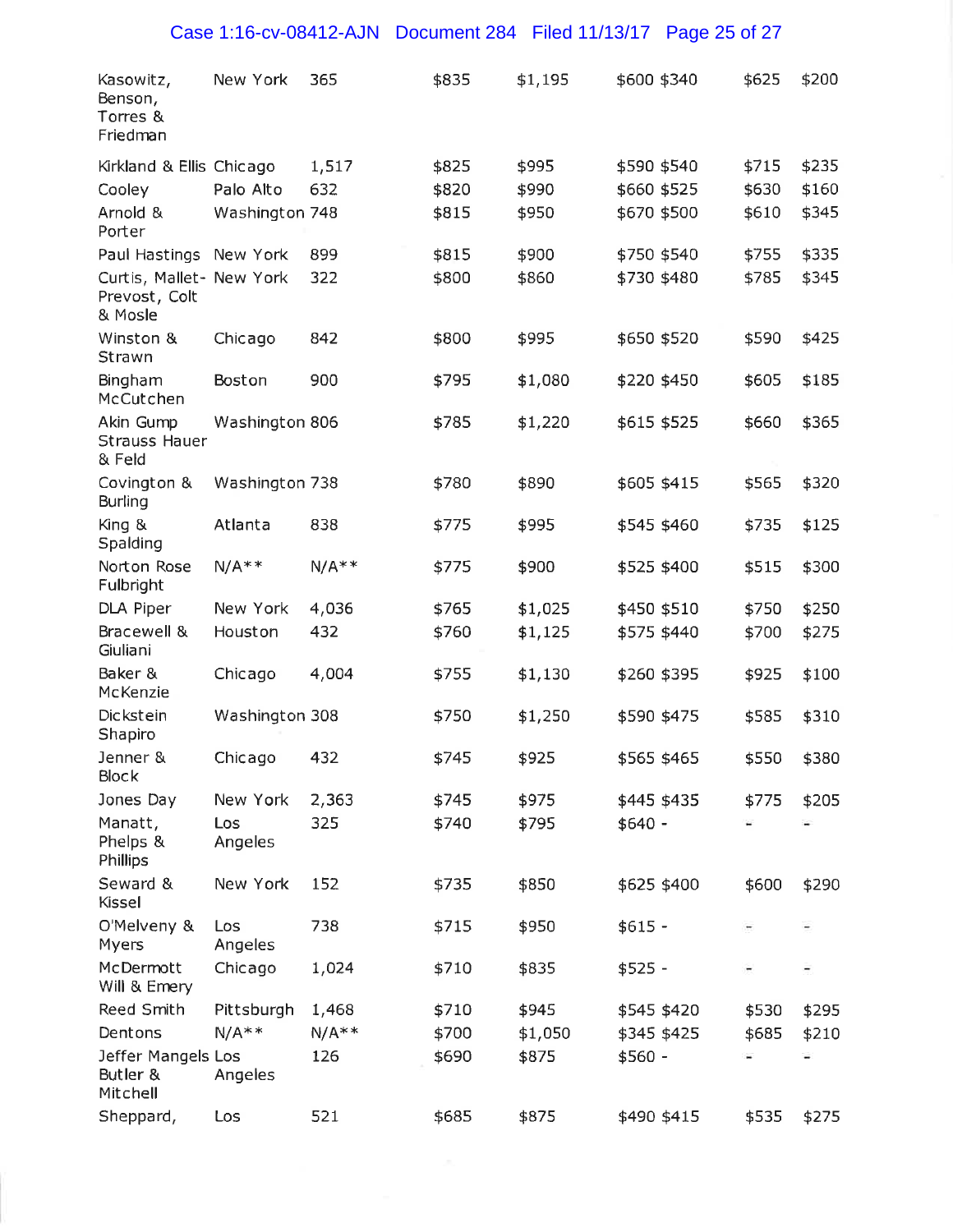| Kasowitz,<br>Benson,<br>Torres &<br>Friedman         | New York              | 365     | \$835 | \$1,195 | \$600 \$340 | \$625 | \$200 |
|------------------------------------------------------|-----------------------|---------|-------|---------|-------------|-------|-------|
| Kirkland & Ellis Chicago                             |                       | 1,517   | \$825 | \$995   | \$590 \$540 | \$715 | \$235 |
| Cooley                                               | Palo Alto             | 632     | \$820 | \$990   | \$660 \$525 | \$630 | \$160 |
| Arnold &<br>Porter                                   | Washington 748        |         | \$815 | \$950   | \$670 \$500 | \$610 | \$345 |
| Paul Hastings                                        | New York              | 899     | \$815 | \$900   | \$750 \$540 | \$755 | \$335 |
| Curtis, Mallet- New York<br>Prevost, Colt<br>& Mosle |                       | 322     | \$800 | \$860   | \$730 \$480 | \$785 | \$345 |
| Winston &<br>Strawn                                  | Chicago               | 842     | \$800 | \$995   | \$650 \$520 | \$590 | \$425 |
| Bingham<br>McCutchen                                 | Boston                | 900     | \$795 | \$1,080 | \$220 \$450 | \$605 | \$185 |
| Akin Gump<br><b>Strauss Hauer</b><br>& Feld          | Washington 806        |         | \$785 | \$1,220 | \$615 \$525 | \$660 | \$365 |
| Covington &<br><b>Burling</b>                        | Washington 738        |         | \$780 | \$890   | \$605 \$415 | \$565 | \$320 |
| King &<br>Spalding                                   | Atlanta               | 838     | \$775 | \$995   | \$545 \$460 | \$735 | \$125 |
| Norton Rose<br>Fulbright                             | $N/A**$               | $N/A**$ | \$775 | \$900   | \$525 \$400 | \$515 | \$300 |
| DLA Piper                                            | New York              | 4,036   | \$765 | \$1,025 | \$450 \$510 | \$750 | \$250 |
| Bracewell &<br>Giuliani                              | Houston               | 432     | \$760 | \$1,125 | \$575 \$440 | \$700 | \$275 |
| Baker &<br>McKenzie                                  | Chicago               | 4,004   | \$755 | \$1,130 | \$260 \$395 | \$925 | \$100 |
| <b>Dickstein</b><br>Shapiro                          | Washington 308        |         | \$750 | \$1,250 | \$590 \$475 | \$585 | \$310 |
| Jenner &<br>Block                                    | Chicago               | 432     | \$745 | \$925   | \$565 \$465 | \$550 | \$380 |
| Jones Day                                            | New York              | 2,363   | \$745 | \$975   | \$445 \$435 | \$775 | \$205 |
| Manatt,<br>Phelps &<br>Phillips                      | <b>Los</b><br>Angeles | 325     | \$740 | \$795   | $$640 -$    |       |       |
| Seward &<br>Kissel                                   | New York              | 152     | \$735 | \$850   | \$625 \$400 | \$600 | \$290 |
| O'Melveny &<br>Myers                                 | Los<br>Angeles        | 738     | \$715 | \$950   | $$615 -$    |       |       |
| McDermott<br>Will & Emery                            | Chicago               | 1,024   | \$710 | \$835   | $$525 -$    |       |       |
| Reed Smith                                           | Pittsburgh            | 1,468   | \$710 | \$945   | \$545 \$420 | \$530 | \$295 |
| Dentons                                              | $N/A**$               | $N/A**$ | \$700 | \$1,050 | \$345 \$425 | \$685 | \$210 |
| Jeffer Mangels Los<br>Butler &<br>Mitchell           | Angeles               | 126     | \$690 | \$875   | \$560 -     |       |       |
| Sheppard,                                            | Los                   | 521     | \$685 | \$875   | \$490 \$415 | \$535 | \$275 |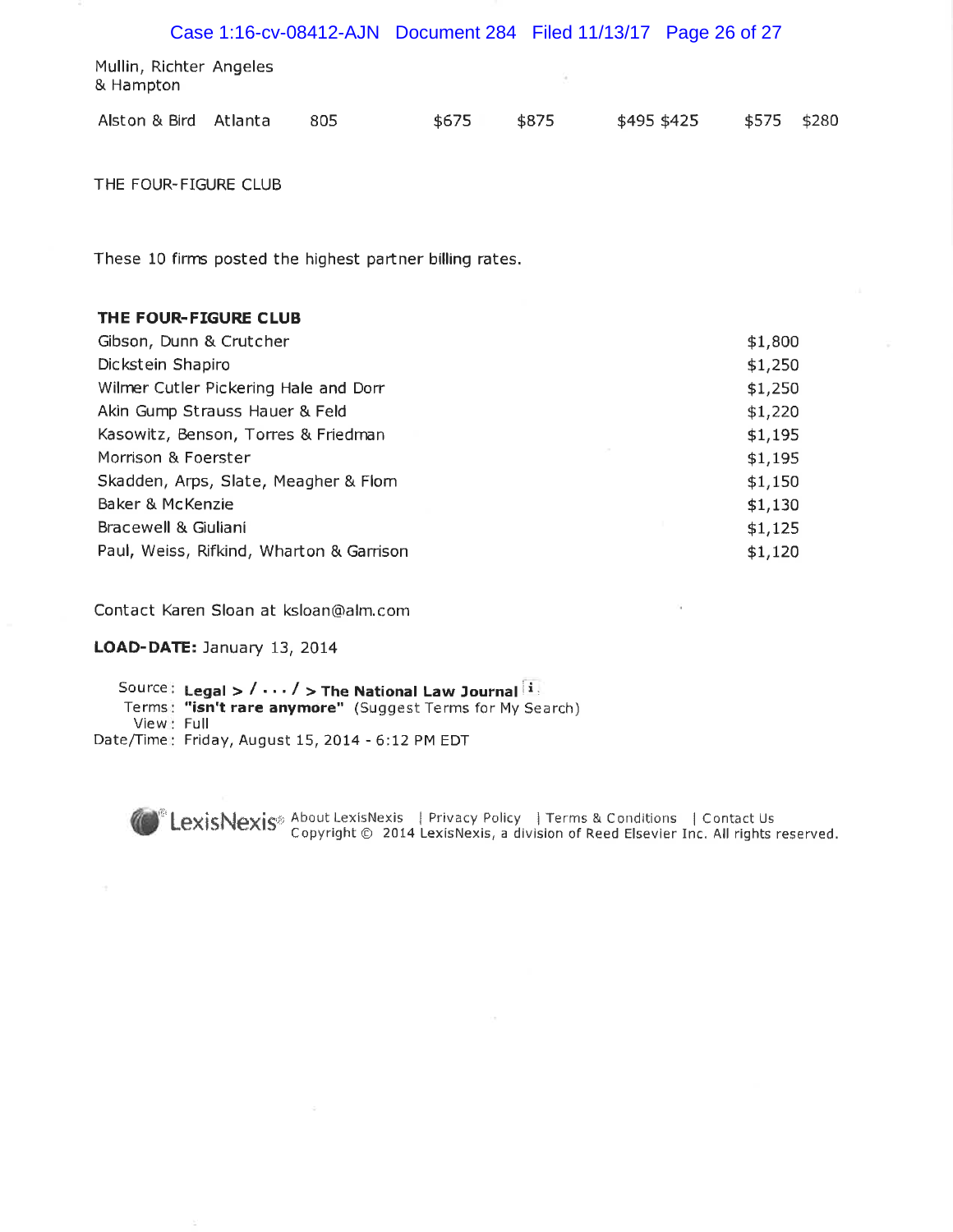|                                      |  |     | Case 1:16-cv-08412-AJN Document 284 Filed 11/13/17 Page 26 of 27 |       |             |             |  |
|--------------------------------------|--|-----|------------------------------------------------------------------|-------|-------------|-------------|--|
| Mullin, Richter Angeles<br>& Hampton |  |     |                                                                  |       |             |             |  |
| Alston & Bird Atlanta                |  | 805 | \$675                                                            | \$875 | \$495 \$425 | \$575 \$280 |  |

THE FOUR-FIGURE CLUB

These 10 firms posted the highest partner billing rates.

#### THE FOUR-FIGURE CLUB

| \$1,800 |
|---------|
| \$1,250 |
| \$1,250 |
| \$1,220 |
| \$1,195 |
| \$1,195 |
| \$1,150 |
| \$1,130 |
| \$1,125 |
| \$1,120 |
|         |

Contact Karen Sloan at ksloan@alm.com

#### LOAD-DATE: January 13, 2014

Source: Legal >  $/ \cdots /$  > The National Law Journal  $\boxed{1}$ <br>Terms: "isn't rare anymore" (Suggest Terms for My Search) View: Full Date/Time: Friday, August 15, 2014 - 6:12 PM EDT

LexisNexis<sup>®</sup> About LexisNexis | Privacy Policy | Terms & Conditions | Contact Us<br>Copyright © 2014 LexisNexis, a division of Reed Elsevier Inc. All rights reserved.